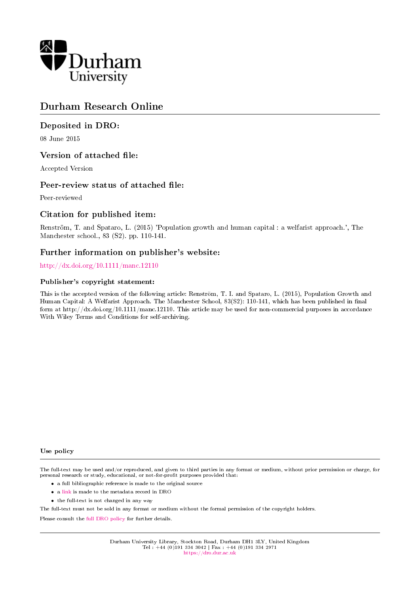

# Durham Research Online

# Deposited in DRO:

08 June 2015

# Version of attached file:

Accepted Version

# Peer-review status of attached file:

Peer-reviewed

# Citation for published item:

Renström, T. and Spataro, L. (2015) 'Population growth and human capital : a welfarist approach.', The Manchester school., 83 (S2). pp. 110-141.

# Further information on publisher's website:

<http://dx.doi.org/10.1111/manc.12110>

## Publisher's copyright statement:

This is the accepted version of the following article: Renström, T. I. and Spataro, L. (2015), Population Growth and Human Capital: A Welfarist Approach. The Manchester School, 83(S2): 110-141, which has been published in final form at http://dx.doi.org/10.1111/manc.12110. This article may be used for non-commercial purposes in accordance With Wiley Terms and Conditions for self-archiving.

#### Use policy

The full-text may be used and/or reproduced, and given to third parties in any format or medium, without prior permission or charge, for personal research or study, educational, or not-for-profit purposes provided that:

- a full bibliographic reference is made to the original source
- a [link](http://dro.dur.ac.uk/15655/) is made to the metadata record in DRO
- the full-text is not changed in any way

The full-text must not be sold in any format or medium without the formal permission of the copyright holders.

Please consult the [full DRO policy](https://dro.dur.ac.uk/policies/usepolicy.pdf) for further details.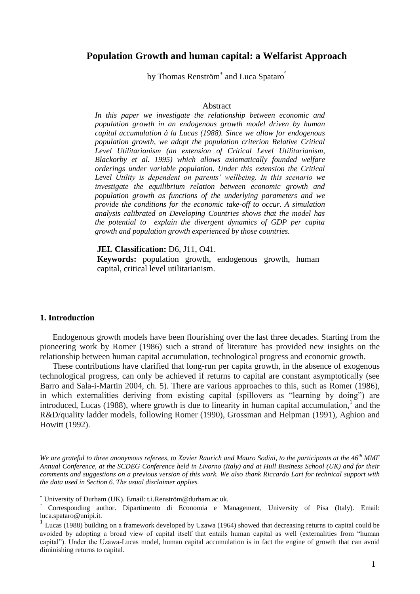# **Population Growth and human capital: a Welfarist Approach**

by Thomas Renström $^*$  and Luca Spataro $\degree$ 

## Abstract

*In this paper we investigate the relationship between economic and population growth in an endogenous growth model driven by human capital accumulation à la Lucas (1988). Since we allow for endogenous population growth, we adopt the population criterion Relative Critical Level Utilitarianism (an extension of Critical Level Utilitarianism, Blackorby et al. 1995) which allows axiomatically founded welfare orderings under variable population. Under this extension the Critical Level Utility is dependent on parents' wellbeing. In this scenario we investigate the equilibrium relation between economic growth and population growth as functions of the underlying parameters and we provide the conditions for the economic take-off to occur. A simulation analysis calibrated on Developing Countries shows that the model has the potential to explain the divergent dynamics of GDP per capita growth and population growth experienced by those countries.*

**JEL Classification:** D6, J11, O41.

**Keywords:** population growth, endogenous growth, human capital, critical level utilitarianism.

## **1. Introduction**

<u>.</u>

Endogenous growth models have been flourishing over the last three decades. Starting from the pioneering work by Romer (1986) such a strand of literature has provided new insights on the relationship between human capital accumulation, technological progress and economic growth.

These contributions have clarified that long-run per capita growth, in the absence of exogenous technological progress, can only be achieved if returns to capital are constant asymptotically (see Barro and Sala-i-Martin 2004, ch. 5). There are various approaches to this, such as Romer (1986), in which externalities deriving from existing capital (spillovers as "learning by doing") are introduced, Lucas (1988), where growth is due to linearity in human capital accumulation,<sup>1</sup> and the R&D/quality ladder models, following Romer (1990), Grossman and Helpman (1991), Aghion and Howitt (1992).

*We are grateful to three anonymous referees, to Xavier Raurich and Mauro Sodini, to the participants at the 46th MMF Annual Conference, at the SCDEG Conference held in Livorno (Italy) and at Hull Business School (UK) and for their comments and suggestions on a previous version of this work. We also thank Riccardo Lari for technical support with the data used in Section 6. The usual disclaimer applies.*

University of Durham (UK). Email: t.i.Renström@durham.ac.uk.

Corresponding author. Dipartimento di Economia e Management, University of Pisa (Italy). Email: luca.spataro@unipi.it.

<sup>&</sup>lt;sup>1</sup> Lucas (1988) building on a framework developed by Uzawa (1964) showed that decreasing returns to capital could be avoided by adopting a broad view of capital itself that entails human capital as well (externalities from "human capital"). Under the Uzawa-Lucas model, human capital accumulation is in fact the engine of growth that can avoid diminishing returns to capital.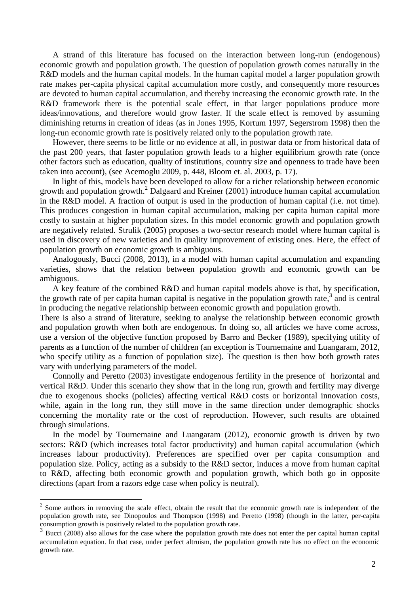A strand of this literature has focused on the interaction between long-run (endogenous) economic growth and population growth. The question of population growth comes naturally in the R&D models and the human capital models. In the human capital model a larger population growth rate makes per-capita physical capital accumulation more costly, and consequently more resources are devoted to human capital accumulation, and thereby increasing the economic growth rate. In the R&D framework there is the potential scale effect, in that larger populations produce more ideas/innovations, and therefore would grow faster. If the scale effect is removed by assuming diminishing returns in creation of ideas (as in Jones 1995, Kortum 1997, Segerstrom 1998) then the long-run economic growth rate is positively related only to the population growth rate.

However, there seems to be little or no evidence at all, in postwar data or from historical data of the past 200 years, that faster population growth leads to a higher equilibrium growth rate (once other factors such as education, quality of institutions, country size and openness to trade have been taken into account), (see Acemoglu 2009, p. 448, Bloom et. al. 2003, p. 17).

In light of this, models have been developed to allow for a richer relationship between economic growth and population growth.<sup>2</sup> Dalgaard and Kreiner (2001) introduce human capital accumulation in the R&D model. A fraction of output is used in the production of human capital (i.e. not time). This produces congestion in human capital accumulation, making per capita human capital more costly to sustain at higher population sizes. In this model economic growth and population growth are negatively related. Strulik (2005) proposes a two-sector research model where human capital is used in discovery of new varieties and in quality improvement of existing ones. Here, the effect of population growth on economic growth is ambiguous.

Analogously, Bucci (2008, 2013), in a model with human capital accumulation and expanding varieties, shows that the relation between population growth and economic growth can be ambiguous.

A key feature of the combined R&D and human capital models above is that, by specification, the growth rate of per capita human capital is negative in the population growth rate,  $3$  and is central in producing the negative relationship between economic growth and population growth.

There is also a strand of literature, seeking to analyse the relationship between economic growth and population growth when both are endogenous. In doing so, all articles we have come across, use a version of the objective function proposed by Barro and Becker (1989), specifying utility of parents as a function of the number of children (an exception is Tournemaine and Luangaram, 2012, who specify utility as a function of population size). The question is then how both growth rates vary with underlying parameters of the model.

Connolly and Peretto (2003) investigate endogenous fertility in the presence of horizontal and vertical R&D. Under this scenario they show that in the long run, growth and fertility may diverge due to exogenous shocks (policies) affecting vertical R&D costs or horizontal innovation costs, while, again in the long run, they still move in the same direction under demographic shocks concerning the mortality rate or the cost of reproduction. However, such results are obtained through simulations.

In the model by Tournemaine and Luangaram (2012), economic growth is driven by two sectors: R&D (which increases total factor productivity) and human capital accumulation (which increases labour productivity). Preferences are specified over per capita consumption and population size. Policy, acting as a subsidy to the R&D sector, induces a move from human capital to R&D, affecting both economic growth and population growth, which both go in opposite directions (apart from a razors edge case when policy is neutral).

1

 $2^2$  Some authors in removing the scale effect, obtain the result that the economic growth rate is independent of the population growth rate, see Dinopoulos and Thompson (1998) and Peretto (1998) (though in the latter, per-capita consumption growth is positively related to the population growth rate.

<sup>3</sup> Bucci (2008) also allows for the case where the population growth rate does not enter the per capital human capital accumulation equation. In that case, under perfect altruism, the population growth rate has no effect on the economic growth rate.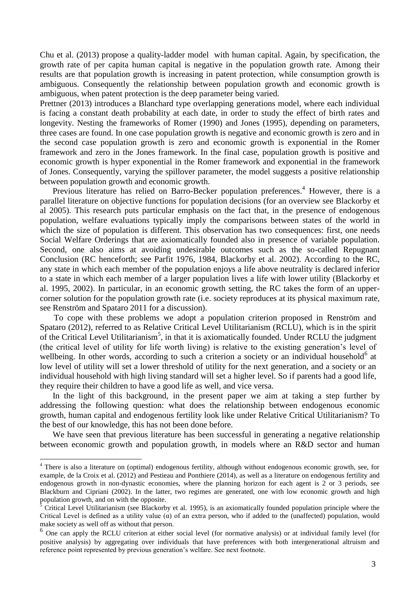Chu et al. (2013) propose a quality-ladder model with human capital. Again, by specification, the growth rate of per capita human capital is negative in the population growth rate. Among their results are that population growth is increasing in patent protection, while consumption growth is ambiguous. Consequently the relationship between population growth and economic growth is ambiguous, when patent protection is the deep parameter being varied.

Prettner (2013) introduces a Blanchard type overlapping generations model, where each individual is facing a constant death probability at each date, in order to study the effect of birth rates and longevity. Nesting the frameworks of Romer (1990) and Jones (1995), depending on parameters, three cases are found. In one case population growth is negative and economic growth is zero and in the second case population growth is zero and economic growth is exponential in the Romer framework and zero in the Jones framework. In the final case, population growth is positive and economic growth is hyper exponential in the Romer framework and exponential in the framework of Jones. Consequently, varying the spillover parameter, the model suggests a positive relationship between population growth and economic growth.

Previous literature has relied on Barro-Becker population preferences.<sup>4</sup> However, there is a parallel literature on objective functions for population decisions (for an overview see Blackorby et al 2005). This research puts particular emphasis on the fact that, in the presence of endogenous population, welfare evaluations typically imply the comparisons between states of the world in which the size of population is different. This observation has two consequences: first, one needs Social Welfare Orderings that are axiomatically founded also in presence of variable population. Second, one also aims at avoiding undesirable outcomes such as the so-called Repugnant Conclusion (RC henceforth; see Parfit 1976, 1984, Blackorby et al. 2002). According to the RC, any state in which each member of the population enjoys a life above neutrality is declared inferior to a state in which each member of a larger population lives a life with lower utility (Blackorby et al. 1995, 2002). In particular, in an economic growth setting, the RC takes the form of an uppercorner solution for the population growth rate (i.e. society reproduces at its physical maximum rate, see Renström and Spataro 2011 for a discussion).

To cope with these problems we adopt a population criterion proposed in Renström and Spataro (2012), referred to as Relative Critical Level Utilitarianism (RCLU), which is in the spirit of the Critical Level Utilitarianism<sup>5</sup>, in that it is axiomatically founded. Under RCLU the judgment (the critical level of utility for life worth living) is relative to the existing generation's level of wellbeing. In other words, according to such a criterion a society or an individual household<sup>6</sup> at low level of utility will set a lower threshold of utility for the next generation, and a society or an individual household with high living standard will set a higher level. So if parents had a good life, they require their children to have a good life as well, and vice versa.

In the light of this background, in the present paper we aim at taking a step further by addressing the following question: what does the relationship between endogenous economic growth, human capital and endogenous fertility look like under Relative Critical Utilitarianism? To the best of our knowledge, this has not been done before.

We have seen that previous literature has been successful in generating a negative relationship between economic growth and population growth, in models where an R&D sector and human

1

<sup>&</sup>lt;sup>4</sup> There is also a literature on (optimal) endogenous fertility, although without endogenous economic growth, see, for example, de la Croix et al. (2012) and Pestieau and Ponthiere (2014), as well as a literature on endogenous fertility and endogenous growth in non-dynastic economies, where the planning horizon for each agent is 2 or 3 periods, see Blackburn and Cipriani (2002). In the latter, two regimes are generated, one with low economic growth and high population growth, and on with the opposite.

<sup>5</sup> Critical Level Utilitarianism (see Blackorby et al. 1995), is an axiomatically founded population principle where the Critical Level is defined as a utility value (α) of an extra person, who if added to the (unaffected) population, would make society as well off as without that person.

<sup>6</sup> One can apply the RCLU criterion at either social level (for normative analysis) or at individual family level (for positive analysis) by aggregating over individuals that have preferences with both intergenerational altruism and reference point represented by previous generation's welfare. See next footnote.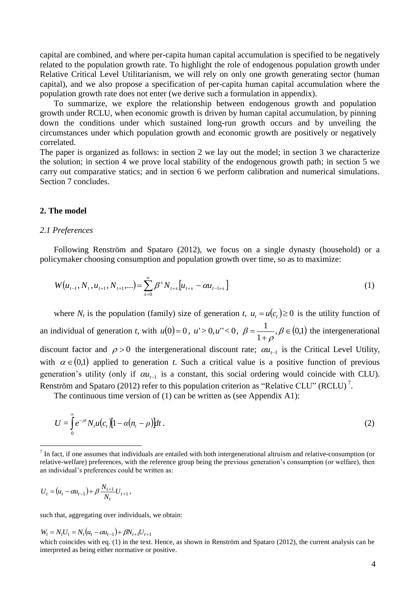capital are combined, and where per-capita human capital accumulation is specified to be negatively related to the population growth rate. To highlight the role of endogenous population growth under Relative Critical Level Utilitarianism, we will rely on only one growth generating sector (human capital), and we also propose a specification of per-capita human capital accumulation where the population growth rate does not enter (we derive such a formulation in appendix).

To summarize, we explore the relationship between endogenous growth and population growth under RCLU, when economic growth is driven by human capital accumulation, by pinning down the conditions under which sustained long-run growth occurs and by unveiling the circumstances under which population growth and economic growth are positively or negatively correlated.

The paper is organized as follows: in section 2 we lay out the model; in section 3 we characterize the solution; in section 4 we prove local stability of the endogenous growth path; in section 5 we carry out comparative statics; and in section 6 we perform calibration and numerical simulations. Section 7 concludes.

#### **2. The model**

## *2.1 Preferences*

Following Renström and Spataro (2012), we focus on a single dynasty (household) or a policymaker choosing consumption and population growth over time, so as to maximize:

$$
W(u_{t-1}, N_t, u_{t+1}, N_{t+1}, \ldots) = \sum_{s=0}^{\infty} \beta^s N_{t+s} [u_{t+s} - \alpha u_{t-1+s}]
$$
 (1)

where  $N_t$  is the population (family) size of generation *t*,  $u_t = u(c_t) \ge 0$  is the utility function of an individual of generation *t*, with  $u(0)=0$ ,  $u' > 0$ ,  $u'' < 0$ ,  $\beta = \frac{1}{a}$ ,  $\beta \in (0,1)$ 1  $\frac{1}{\beta}$  $\overline{+}$  $=\frac{1}{1}$ ,  $\beta$  $\rho$  $\beta = \frac{1}{1}$ ,  $\beta \in (0,1)$  the intergenerational discount factor and  $\rho > 0$  the intergenerational discount rate;  $\alpha u_{t-1}$  is the Critical Level Utility, with  $\alpha \in (0,1)$  applied to generation *t*. Such a critical value is a positive function of previous generation's utility (only if  $\alpha u_{t-1}$  is a constant, this social ordering would coincide with CLU). Renström and Spataro (2012) refer to this population criterion as "Relative CLU" (RCLU)<sup>7</sup>.

The continuous time version of (1) can be written as (see Appendix A1):

$$
U = \int_{0}^{\infty} e^{-\rho t} N_{t} u(c_{t}) [1 - \alpha (n_{t} - \rho)] dt.
$$
 (2)

$$
U_t = (u_t - \alpha u_{t-1}) + \beta \frac{N_{t+1}}{N_t} U_{t+1},
$$

1

such that, aggregating over individuals, we obtain:

 $W_t = N_t U_t = N_t (u_t - \alpha u_{t-1}) + \beta N_{t+1} U_{t+1}$ which coincides with eq. (1) in the text. Hence, as shown in Renström and Spataro (2012), the current analysis can be interpreted as being either normative or positive.

 $<sup>7</sup>$  In fact, if one assumes that individuals are entailed with both intergenerational altruism and relative-consumption (or</sup> relative-welfare) preferences, with the reference group being the previous generation's consumption (or welfare), then an individual's preferences could be written as: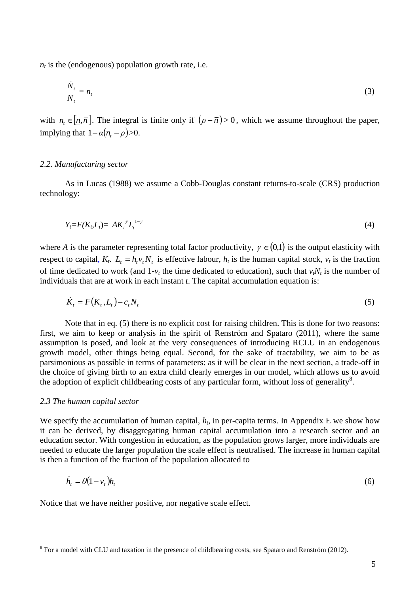$n_t$  is the (endogenous) population growth rate, i.e.

$$
\frac{\dot{N}_t}{N_t} = n_t \tag{3}
$$

with  $n_i \in [n, \bar{n}]$ . The integral is finite only if  $(\rho - \bar{n}) > 0$ , which we assume throughout the paper, implying that  $1 - \alpha (n_t - \rho) > 0$ .

#### *2.2. Manufacturing sector*

As in Lucas (1988) we assume a Cobb-Douglas constant returns-to-scale (CRS) production technology:

$$
Y_t = F(K_t, L_t) = AK_t^{\gamma}L_t^{1-\gamma}
$$
\n
$$
\tag{4}
$$

where *A* is the parameter representing total factor productivity,  $\gamma \in (0,1)$  is the output elasticity with respect to capital,  $K_t$ .  $L_t = h_t v_t N_t$  is effective labour,  $h_t$  is the human capital stock,  $v_t$  is the fraction of time dedicated to work (and  $1-v_t$  the time dedicated to education), such that  $v_tN_t$  is the number of individuals that are at work in each instant *t*. The capital accumulation equation is:

$$
\dot{K}_t = F(K_t, L_t) - c_t N_t \tag{5}
$$

Note that in eq. (5) there is no explicit cost for raising children. This is done for two reasons: first, we aim to keep or analysis in the spirit of Renström and Spataro (2011), where the same assumption is posed, and look at the very consequences of introducing RCLU in an endogenous growth model, other things being equal. Second, for the sake of tractability, we aim to be as parsimonious as possible in terms of parameters: as it will be clear in the next section, a trade-off in the choice of giving birth to an extra child clearly emerges in our model, which allows us to avoid the adoption of explicit childbearing costs of any particular form, without loss of generality<sup>8</sup>.

#### *2.3 The human capital sector*

1

We specify the accumulation of human capital,  $h_t$ , in per-capita terms. In Appendix E we show how it can be derived, by disaggregating human capital accumulation into a research sector and an education sector. With congestion in education, as the population grows larger, more individuals are needed to educate the larger population the scale effect is neutralised. The increase in human capital is then a function of the fraction of the population allocated to

$$
\dot{h}_t = \theta (1 - v_t) h_t \tag{6}
$$

Notice that we have neither positive, nor negative scale effect.

 $8$  For a model with CLU and taxation in the presence of childbearing costs, see Spataro and Renström (2012).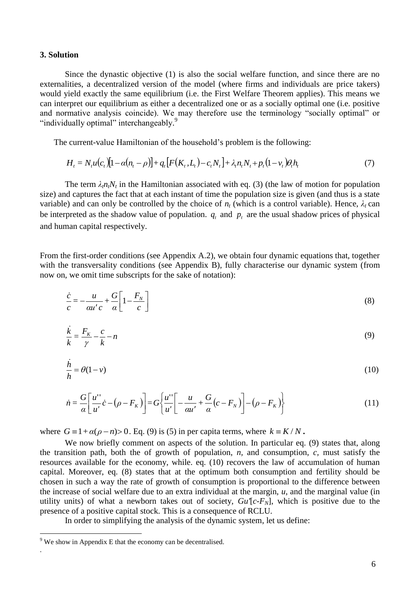## **3. Solution**

Since the dynastic objective (1) is also the social welfare function, and since there are no externalities, a decentralized version of the model (where firms and individuals are price takers) would yield exactly the same equilibrium (i.e. the First Welfare Theorem applies). This means we can interpret our equilibrium as either a decentralized one or as a socially optimal one (i.e. positive and normative analysis coincide). We may therefore use the terminology "socially optimal" or "individually optimal" interchangeably.<sup>9</sup>

The current-value Hamiltonian of the household's problem is the following:

$$
H_{t} = N_{t}u(c_{t})[1 - \alpha(n_{t} - \rho)] + q_{t}[F(K_{t}, L_{t}) - c_{t}N_{t}] + \lambda_{t}n_{t}N_{t} + p_{t}(1 - \nu_{t})\theta_{t}h_{t}
$$
(7)

The term  $\lambda_i n_i N_t$  in the Hamiltonian associated with eq. (3) (the law of motion for population size) and captures the fact that at each instant of time the population size is given (and thus is a state variable) and can only be controlled by the choice of  $n_t$  (which is a control variable). Hence,  $\lambda_t$  can be interpreted as the shadow value of population.  $q_t$  and  $p_t$  are the usual shadow prices of physical and human capital respectively.

From the first-order conditions (see Appendix A.2), we obtain four dynamic equations that, together with the transversality conditions (see Appendix B), fully characterise our dynamic system (from now on, we omit time subscripts for the sake of notation):

$$
\frac{\dot{c}}{c} = -\frac{u}{au'c} + \frac{G}{a} \left[ 1 - \frac{F_N}{c} \right]
$$
\n(8)

$$
\frac{\dot{k}}{k} = \frac{F_k}{\gamma} - \frac{c}{k} - n \tag{9}
$$

$$
\frac{\dot{h}}{h} = \theta(1 - v) \tag{10}
$$

$$
\dot{n} = \frac{G}{\alpha} \left[ \frac{u''}{u'} \dot{c} - (\rho - F_K) \right] = G \left\{ \frac{u''}{u'} \right[ - \frac{u}{\alpha u'} + \frac{G}{\alpha} (c - F_N) \right] - (\rho - F_K) \}
$$
(11)

where  $G = 1 + \alpha(\rho - n) > 0$ . Eq. (9) is (5) in per capita terms, where  $k = K/N$ .

We now briefly comment on aspects of the solution. In particular eq. (9) states that, along the transition path, both the of growth of population, *n,* and consumption, *c,* must satisfy the resources available for the economy, while. eq. (10) recovers the law of accumulation of human capital. Moreover, eq. (8) states that at the optimum both consumption and fertility should be chosen in such a way the rate of growth of consumption is proportional to the difference between the increase of social welfare due to an extra individual at the margin, *u*, and the marginal value (in utility units) of what a newborn takes out of society, *Gu′*[*c-FN*], which is positive due to the presence of a positive capital stock. This is a consequence of RCLU.

In order to simplifying the analysis of the dynamic system, let us define:

1

.

 $9$  We show in Appendix E that the economy can be decentralised.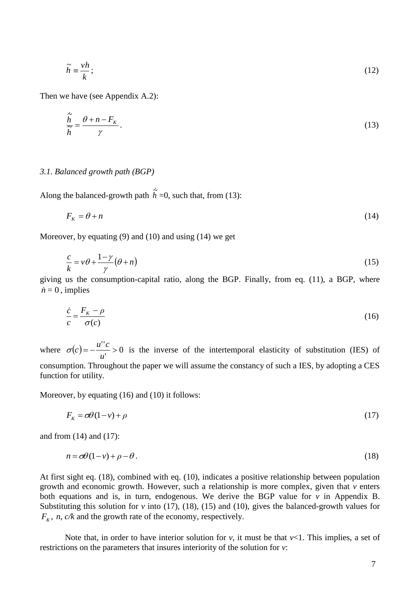$$
\widetilde{h} \equiv \frac{vh}{k};\tag{12}
$$

Then we have (see Appendix A.2):

$$
\frac{\dot{\tilde{h}}}{\tilde{h}} = \frac{\theta + n - F_K}{\gamma}.
$$
\n(13)

## *3.1. Balanced growth path (BGP)*

Along the balanced-growth path  $\dot{\tilde{h}} = 0$ , such that, from (13):

$$
F_{\kappa} = \theta + n \tag{14}
$$

Moreover, by equating (9) and (10) and using (14) we get

$$
\frac{c}{k} = v\theta + \frac{1-\gamma}{\gamma}(\theta + n) \tag{15}
$$

giving us the consumption-capital ratio, along the BGP. Finally, from eq. (11), a BGP, where  $\dot{n} = 0$ , implies

$$
\frac{\dot{c}}{c} = \frac{F_K - \rho}{\sigma(c)}\tag{16}
$$

where  $\sigma(c) = -\frac{a}{c} > 0$  $=-\frac{u''c}{u}$ *u*  $\sigma(c) = -\frac{u''c}{c} > 0$  is the inverse of the intertemporal elasticity of substitution (IES) of consumption. Throughout the paper we will assume the constancy of such a IES, by adopting a CES function for utility.

Moreover, by equating (16) and (10) it follows:

$$
F_k = \sigma \theta (1 - v) + \rho \tag{17}
$$

and from (14) and (17):

$$
n = \sigma \theta (1 - v) + \rho - \theta. \tag{18}
$$

At first sight eq. (18), combined with eq. (10), indicates a positive relationship between population growth and economic growth. However, such a relationship is more complex, given that *v* enters both equations and is, in turn, endogenous. We derive the BGP value for  $v$  in Appendix B. Substituting this solution for *v* into (17), (18), (15) and (10), gives the balanced-growth values for  $F_k$ , *n*, *c*/*k* and the growth rate of the economy, respectively.

Note that, in order to have interior solution for  $\nu$ , it must be that  $\nu$ <1. This implies, a set of restrictions on the parameters that insures interiority of the solution for *v*: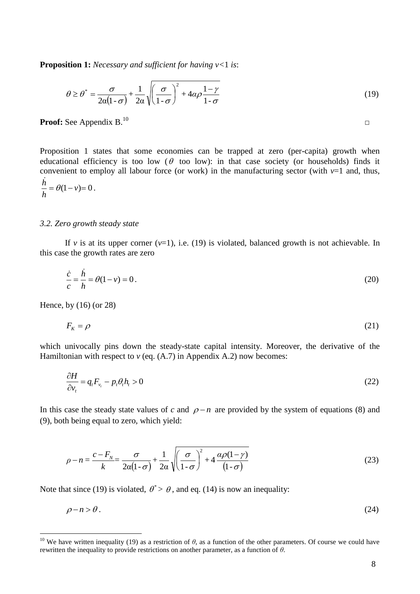**Proposition 1:** *Necessary and sufficient for having v<*1 *is*:

$$
\theta \ge \theta^* = \frac{\sigma}{2\alpha(1-\sigma)} + \frac{1}{2\alpha} \sqrt{\left(\frac{\sigma}{1-\sigma}\right)^2 + 4\alpha\rho \frac{1-\gamma}{1-\sigma}}
$$
(19)

Proof: See Appendix B.<sup>10</sup> <sup>10</sup> *□*

Proposition 1 states that some economies can be trapped at zero (per-capita) growth when educational efficiency is too low ( $\theta$  too low): in that case society (or households) finds it convenient to employ all labour force (or work) in the manufacturing sector (with  $v=1$  and, thus, i,

$$
\frac{h}{h} = \theta(1 - v) = 0.
$$

## *3.2. Zero growth steady state*

If *v* is at its upper corner  $(v=1)$ , i.e. (19) is violated, balanced growth is not achievable. In this case the growth rates are zero

$$
\frac{\dot{c}}{c} = \frac{\dot{h}}{h} = \theta(1 - v) = 0.
$$
\n(20)

Hence, by (16) (or 28)

1

$$
F_k = \rho \tag{21}
$$

which univocally pins down the steady-state capital intensity. Moreover, the derivative of the Hamiltonian with respect to  $v$  (eq.  $(A.7)$  in Appendix A.2) now becomes:

$$
\frac{\partial H}{\partial v_t} = q_t F_{v_t} - p_t \theta_t h_t > 0 \tag{22}
$$

In this case the steady state values of  $c$  and  $\rho - n$  are provided by the system of equations (8) and (9), both being equal to zero, which yield:

$$
\rho - n = \frac{c - F_N}{k} = \frac{\sigma}{2\alpha(1 - \sigma)} + \frac{1}{2\alpha} \sqrt{\left(\frac{\sigma}{1 - \sigma}\right)^2 + 4\frac{\alpha\rho(1 - \gamma)}{(1 - \sigma)}}
$$
(23)

Note that since (19) is violated,  $\theta^* > \theta$ , and eq. (14) is now an inequality:

$$
\rho - n > \theta. \tag{24}
$$

<sup>&</sup>lt;sup>10</sup> We have written inequality (19) as a restriction of  $\theta$ , as a function of the other parameters. Of course we could have rewritten the inequality to provide restrictions on another parameter, as a function of *θ*.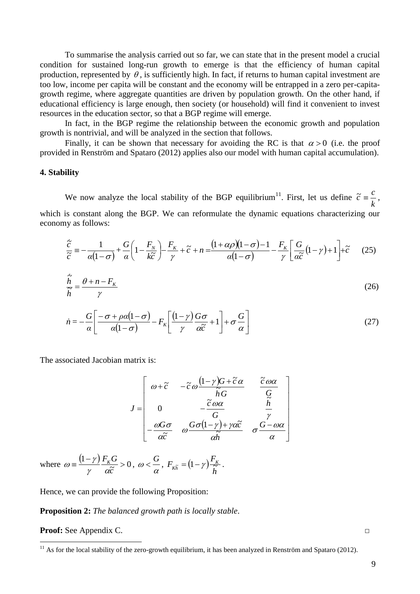To summarise the analysis carried out so far, we can state that in the present model a crucial condition for sustained long-run growth to emerge is that the efficiency of human capital production, represented by  $\theta$ , is sufficiently high. In fact, if returns to human capital investment are too low, income per capita will be constant and the economy will be entrapped in a zero per-capitagrowth regime, where aggregate quantities are driven by population growth. On the other hand, if educational efficiency is large enough, then society (or household) will find it convenient to invest resources in the education sector, so that a BGP regime will emerge.

In fact, in the BGP regime the relationship between the economic growth and population growth is nontrivial, and will be analyzed in the section that follows.

Finally, it can be shown that necessary for avoiding the RC is that  $\alpha > 0$  (i.e. the proof provided in Renström and Spataro (2012) applies also our model with human capital accumulation).

## **4. Stability**

We now analyze the local stability of the BGP equilibrium<sup>11</sup>. First, let us define *k*  $\tilde{c} \equiv \frac{c}{l}$ , which is constant along the BGP. We can reformulate the dynamic equations characterizing our<br>economy as follows:<br> $\frac{\dot{\tilde{c}}}{\tilde{c}} = -\frac{1}{r(1-\tilde{c})} + \frac{G}{r} \left(1 - \frac{F_N}{4\tilde{c}^2}\right) - \frac{F_K}{r} + \tilde{c} + n = \frac{(1+\alpha\rho)(1-\sigma)-1}{r(1-\tilde{c$ economy as follows:

$$
\frac{\dot{\tilde{c}}}{\tilde{c}} = -\frac{1}{\alpha(1-\sigma)} + \frac{G}{\alpha} \left( 1 - \frac{F_N}{k\tilde{c}} \right) - \frac{F_K}{\gamma} + \tilde{c} + n = \frac{\left( 1 + \alpha \rho \right) \left( 1 - \sigma \right) - 1}{\alpha (1 - \sigma)} - \frac{F_K}{\gamma} \left[ \frac{G}{\alpha \tilde{c}} \left( 1 - \gamma \right) + 1 \right] + \tilde{c} \tag{25}
$$

$$
\frac{\dot{\tilde{h}}}{\tilde{h}} = \frac{\theta + n - F_K}{\gamma} \tag{26}
$$

$$
\dot{n} = -\frac{G}{\alpha} \left[ \frac{-\sigma + \rho \alpha (1 - \sigma)}{\alpha (1 - \sigma)} - F_{K} \left[ \frac{(1 - \gamma)}{\gamma} \frac{G \sigma}{\alpha \tilde{c}} + 1 \right] + \sigma \frac{G}{\alpha} \right]
$$
(27)

The associated Jacobian matrix is:

$$
J = \begin{bmatrix} \omega + \tilde{c} & -\tilde{c} \omega \frac{(1-\gamma)G + \tilde{c}\alpha}{\tilde{h}G} & \frac{\tilde{c}\omega\alpha}{G} \\ 0 & -\frac{\tilde{c}\omega\alpha}{G} & \frac{\tilde{h}}{\gamma} \\ -\frac{\omega G\sigma}{\alpha \tilde{c}} & \omega \frac{G\sigma (1-\gamma) + \gamma \alpha \tilde{c}}{\alpha \tilde{h}} & \sigma \frac{G - \omega\alpha}{\alpha} \end{bmatrix}
$$

where  $\omega = \frac{(1-\gamma)}{\gamma} \frac{F_K G}{\alpha \tilde{c}} > 0$ *c*  $F_{K}$ *G*  $\gamma$  as  $\omega = \frac{(1-\gamma)}{\gamma} \frac{F_K G}{\alpha \tilde{c}} > 0, \ \omega < \frac{G}{\alpha}$  $\omega < \frac{G}{\tau}$ ,  $F_{\kappa \tilde{\kappa}} = (1 - \gamma)$ *h*  $F_{\kappa\tilde{k}} = (1-\gamma)\frac{F_k}{2}$  $\sigma_{K\widetilde{h}} = (1-\gamma)\frac{\Gamma_K}{\widetilde{h}}$ .

Hence, we can provide the following Proposition:

**Proposition 2:** *The balanced growth path is locally stable*.

**Proof:** See Appendix C. *□*

1

 $11$  As for the local stability of the zero-growth equilibrium, it has been analyzed in Renström and Spataro (2012).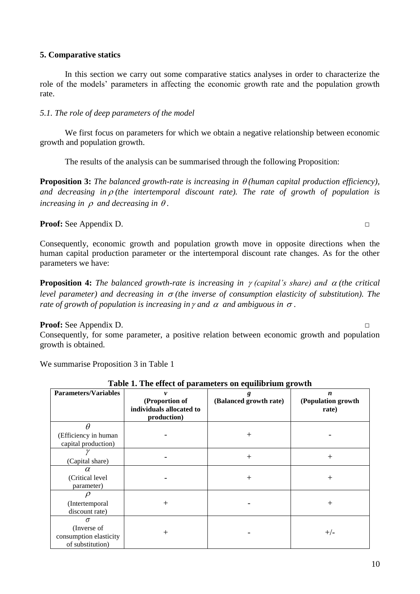# **5. Comparative statics**

In this section we carry out some comparative statics analyses in order to characterize the role of the models' parameters in affecting the economic growth rate and the population growth rate.

# *5.1. The role of deep parameters of the model*

We first focus on parameters for which we obtain a negative relationship between economic growth and population growth.

The results of the analysis can be summarised through the following Proposition:

**Proposition 3:** The balanced growth-rate is increasing in  $\theta$  (human capital production efficiency), and decreasing in  $\rho$  (the intertemporal discount rate). The rate of growth of population is *increasing in*  $\rho$  *and decreasing in*  $\theta$ .

**Proof:** See Appendix D. *□*

Consequently, economic growth and population growth move in opposite directions when the human capital production parameter or the intertemporal discount rate changes. As for the other parameters we have:

**Proposition 4:** The balanced growth-rate is increasing in  $\gamma$  (capital's share) and  $\alpha$  (the critical level parameter) and decreasing in  $\sigma$  (the inverse of consumption elasticity of substitution). The *rate of growth of population is increasing in*  $\gamma$  *and*  $\alpha$  *and ambiguous in*  $\sigma$ *.* 

# **Proof:** See Appendix D. *□*

Consequently, for some parameter, a positive relation between economic growth and population growth is obtained.

We summarise Proposition 3 in Table 1

|                                                                       | Table 1. The effect of parameters on equinorium growth    |                             |                                                 |
|-----------------------------------------------------------------------|-----------------------------------------------------------|-----------------------------|-------------------------------------------------|
| <b>Parameters/Variables</b>                                           | (Proportion of<br>individuals allocated to<br>production) | g<br>(Balanced growth rate) | $\boldsymbol{n}$<br>(Population growth<br>rate) |
| Ĥ                                                                     |                                                           |                             |                                                 |
| (Efficiency in human<br>capital production)                           |                                                           | $^{+}$                      |                                                 |
| (Capital share)                                                       |                                                           | $+$                         | $^{+}$                                          |
| $\alpha$<br>(Critical level)<br>parameter)                            |                                                           | $^{+}$                      | $^{+}$                                          |
| (Intertemporal<br>discount rate)                                      | $^{+}$                                                    |                             | $^{+}$                                          |
| $\sigma$<br>(Inverse of<br>consumption elasticity<br>of substitution) | $\,+\,$                                                   |                             | $+/-$                                           |

**Table 1. The effect of parameters on equilibrium growth**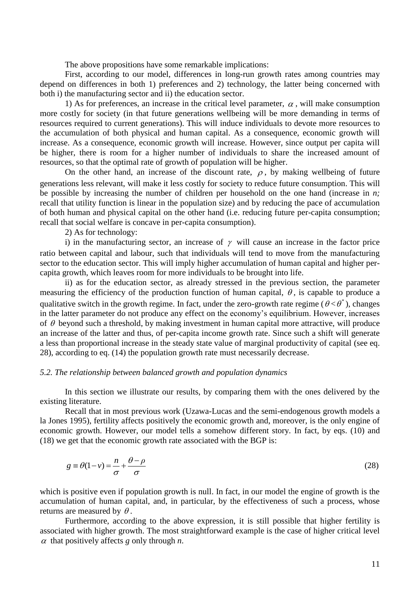The above propositions have some remarkable implications:

First, according to our model, differences in long-run growth rates among countries may depend on differences in both 1) preferences and 2) technology, the latter being concerned with both i) the manufacturing sector and ii) the education sector.

1) As for preferences, an increase in the critical level parameter,  $\alpha$ , will make consumption more costly for society (in that future generations wellbeing will be more demanding in terms of resources required to current generations). This will induce individuals to devote more resources to the accumulation of both physical and human capital. As a consequence, economic growth will increase. As a consequence, economic growth will increase. However, since output per capita will be higher, there is room for a higher number of individuals to share the increased amount of resources, so that the optimal rate of growth of population will be higher.

On the other hand, an increase of the discount rate,  $\rho$ , by making wellbeing of future generations less relevant, will make it less costly for society to reduce future consumption. This will be possible by increasing the number of children per household on the one hand (increase in *n;*  recall that utility function is linear in the population size) and by reducing the pace of accumulation of both human and physical capital on the other hand (i.e. reducing future per-capita consumption; recall that social welfare is concave in per-capita consumption).

2) As for technology:

i) in the manufacturing sector, an increase of  $\gamma$  will cause an increase in the factor price ratio between capital and labour, such that individuals will tend to move from the manufacturing sector to the education sector. This will imply higher accumulation of human capital and higher percapita growth, which leaves room for more individuals to be brought into life.

ii) as for the education sector, as already stressed in the previous section, the parameter measuring the efficiency of the production function of human capital,  $\theta$ , is capable to produce a qualitative switch in the growth regime. In fact, under the zero-growth rate regime ( $\theta < \theta^*$ ), changes in the latter parameter do not produce any effect on the economy's equilibrium. However, increases of  $\theta$  beyond such a threshold, by making investment in human capital more attractive, will produce an increase of the latter and thus, of per-capita income growth rate. Since such a shift will generate a less than proportional increase in the steady state value of marginal productivity of capital (see eq. 28), according to eq. (14) the population growth rate must necessarily decrease.

#### *5.2. The relationship between balanced growth and population dynamics*

In this section we illustrate our results, by comparing them with the ones delivered by the existing literature.

Recall that in most previous work (Uzawa-Lucas and the semi-endogenous growth models a la Jones 1995), fertility affects positively the economic growth and, moreover, is the only engine of economic growth. However, our model tells a somehow different story. In fact, by eqs. (10) and (18) we get that the economic growth rate associated with the BGP is:

$$
g \equiv \theta(1 - v) = \frac{n}{\sigma} + \frac{\theta - \rho}{\sigma} \tag{28}
$$

which is positive even if population growth is null. In fact, in our model the engine of growth is the accumulation of human capital, and, in particular, by the effectiveness of such a process, whose returns are measured by  $\theta$ .

Furthermore, according to the above expression, it is still possible that higher fertility is associated with higher growth. The most straightforward example is the case of higher critical level  $\alpha$  that positively affects  $g$  only through  $n$ .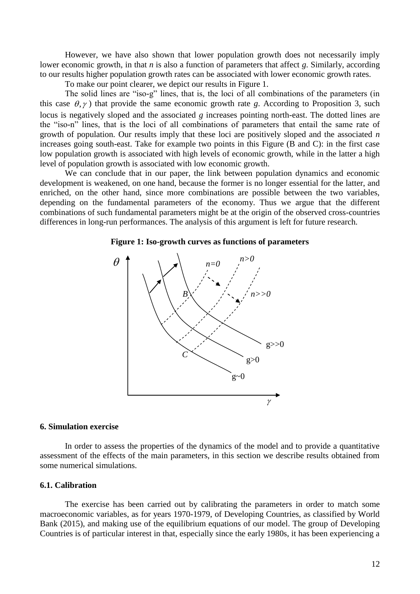However, we have also shown that lower population growth does not necessarily imply lower economic growth, in that *n* is also a function of parameters that affect *g*. Similarly, according to our results higher population growth rates can be associated with lower economic growth rates.

To make our point clearer, we depict our results in Figure 1.

The solid lines are "iso-g" lines, that is, the loci of all combinations of the parameters (in this case  $\theta$ ,  $\gamma$ ) that provide the same economic growth rate *g*. According to Proposition 3, such locus is negatively sloped and the associated *g* increases pointing north-east. The dotted lines are the "iso-n" lines, that is the loci of all combinations of parameters that entail the same rate of growth of population. Our results imply that these loci are positively sloped and the associated *n* increases going south-east. Take for example two points in this Figure (B and C): in the first case low population growth is associated with high levels of economic growth, while in the latter a high level of population growth is associated with low economic growth.

We can conclude that in our paper, the link between population dynamics and economic development is weakened, on one hand, because the former is no longer essential for the latter, and enriched, on the other hand, since more combinations are possible between the two variables, depending on the fundamental parameters of the economy. Thus we argue that the different combinations of such fundamental parameters might be at the origin of the observed cross-countries differences in long-run performances. The analysis of this argument is left for future research.

### **Figure 1: Iso-growth curves as functions of parameters**



## **6. Simulation exercise**

In order to assess the properties of the dynamics of the model and to provide a quantitative assessment of the effects of the main parameters, in this section we describe results obtained from some numerical simulations.

## **6.1. Calibration**

The exercise has been carried out by calibrating the parameters in order to match some macroeconomic variables, as for years 1970-1979, of Developing Countries, as classified by World Bank (2015), and making use of the equilibrium equations of our model. The group of Developing Countries is of particular interest in that, especially since the early 1980s, it has been experiencing a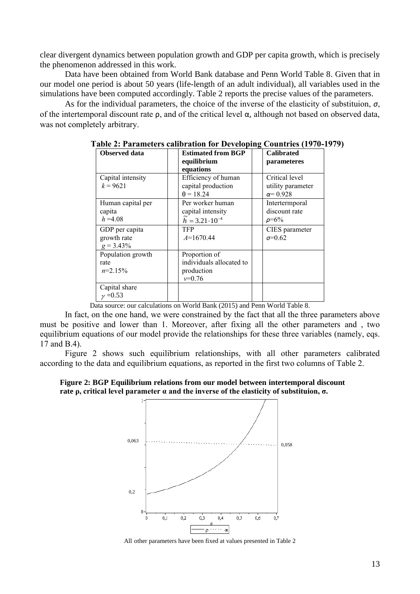clear divergent dynamics between population growth and GDP per capita growth, which is precisely the phenomenon addressed in this work.

Data have been obtained from World Bank database and Penn World Table 8. Given that in our model one period is about 50 years (life-length of an adult individual), all variables used in the simulations have been computed accordingly. Table 2 reports the precise values of the parameters.

As for the individual parameters, the choice of the inverse of the elasticity of substituion,  $\sigma$ , of the intertemporal discount rate ρ, and of the critical level α, although not based on observed data, was not completely arbitrary.

| Observed data<br>Capital intensity<br>$k = 9621$ | <b>Estimated from BGP</b><br>equilibrium<br>equations<br>Efficiency of human<br>capital production | <b>Calibrated</b><br>parameteres<br>Critical level |
|--------------------------------------------------|----------------------------------------------------------------------------------------------------|----------------------------------------------------|
|                                                  | $\theta = 18.24$                                                                                   | utility parameter<br>$\alpha = 0.928$              |
| Human capital per<br>capita<br>$h = 4.08$        | Per worker human<br>capital intensity<br>$\tilde{h} = 3.21 \cdot 10^{-4}$                          | Intertermporal<br>discount rate<br>$\rho = 6\%$    |
| GDP per capita<br>growth rate<br>$g = 3.43\%$    | <b>TFP</b><br>$A=1670.44$                                                                          | CIES parameter<br>$\sigma = 0.62$                  |
| Population growth<br>rate<br>$n=2.15\%$          | Proportion of<br>individuals allocated to<br>production<br>$v=0.76$                                |                                                    |
| Capital share<br>$v = 0.53$                      |                                                                                                    |                                                    |

**Table 2: Parameters calibration for Developing Countries (1970-1979)**

Data source: our calculations on World Bank (2015) and Penn World Table 8.

In fact, on the one hand, we were constrained by the fact that all the three parameters above must be positive and lower than 1. Moreover, after fixing all the other parameters and , two equilibrium equations of our model provide the relationships for these three variables (namely, eqs. 17 and B.4).

Figure 2 shows such equilibrium relationships, with all other parameters calibrated according to the data and equilibrium equations, as reported in the first two columns of Table 2.

**Figure 2: BGP Equilibrium relations from our model between intertemporal discount rate ρ, critical level parameter α and the inverse of the elasticity of substituion, σ.**



All other parameters have been fixed at values presented in Table 2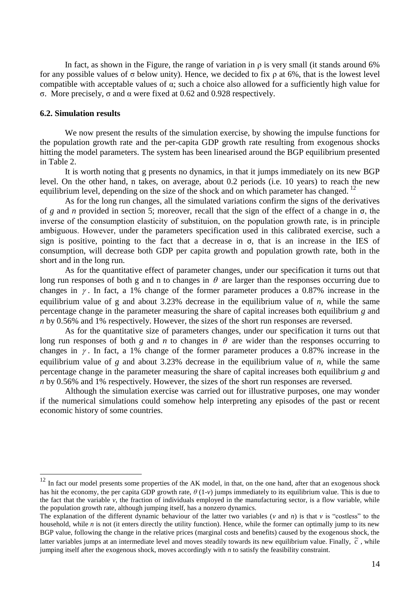In fact, as shown in the Figure, the range of variation in  $\rho$  is very small (it stands around 6%) for any possible values of σ below unity). Hence, we decided to fix ρ at 6%, that is the lowest level compatible with acceptable values of α; such a choice also allowed for a sufficiently high value for σ. More precisely, σ and α were fixed at 0.62 and 0.928 respectively.

## **6.2. Simulation results**

<u>.</u>

We now present the results of the simulation exercise, by showing the impulse functions for the population growth rate and the per-capita GDP growth rate resulting from exogenous shocks hitting the model parameters. The system has been linearised around the BGP equilibrium presented in Table 2.

It is worth noting that g presents no dynamics, in that it jumps immediately on its new BGP level. On the other hand, n takes, on average, about 0.2 periods (i.e. 10 years) to reach the new equilibrium level, depending on the size of the shock and on which parameter has changed.  $^{12}$ 

As for the long run changes, all the simulated variations confirm the signs of the derivatives of *g* and *n* provided in section 5; moreover, recall that the sign of the effect of a change in σ, the inverse of the consumption elasticity of substituion, on the population growth rate, is in principle ambiguous. However, under the parameters specification used in this calibrated exercise, such a sign is positive, pointing to the fact that a decrease in  $\sigma$ , that is an increase in the IES of consumption, will decrease both GDP per capita growth and population growth rate, both in the short and in the long run.

As for the quantitative effect of parameter changes, under our specification it turns out that long run responses of both g and n to changes in  $\theta$  are larger than the responses occurring due to changes in  $\gamma$ . In fact, a 1% change of the former parameter produces a 0.87% increase in the equilibrium value of g and about 3.23% decrease in the equilibrium value of *n*, while the same percentage change in the parameter measuring the share of capital increases both equilibrium *g* and *n* by 0.56% and 1% respectively. However, the sizes of the short run responses are reversed.

As for the quantitative size of parameters changes, under our specification it turns out that long run responses of both  $g$  and  $n$  to changes in  $\theta$  are wider than the responses occurring to changes in  $\gamma$ . In fact, a 1% change of the former parameter produces a 0.87% increase in the equilibrium value of *g* and about 3.23% decrease in the equilibrium value of *n*, while the same percentage change in the parameter measuring the share of capital increases both equilibrium *g* and *n* by 0.56% and 1% respectively. However, the sizes of the short run responses are reversed.

Although the simulation exercise was carried out for illustrative purposes, one may wonder if the numerical simulations could somehow help interpreting any episodes of the past or recent economic history of some countries.

 $12$  In fact our model presents some properties of the AK model, in that, on the one hand, after that an exogenous shock has hit the economy, the per capita GDP growth rate,  $\theta(1-\nu)$  jumps immediately to its equilibrium value. This is due to the fact that the variable  $v$ , the fraction of individuals employed in the manufacturing sector, is a flow variable, while the population growth rate, although jumping itself, has a nonzero dynamics.

The explanation of the different dynamic behaviour of the latter two variables ( $\nu$  and  $n$ ) is that  $\nu$  is "costless" to the household, while *n* is not (it enters directly the utility function). Hence, while the former can optimally jump to its new BGP value, following the change in the relative prices (marginal costs and benefits) caused by the exogenous shock, the latter variables jumps at an intermediate level and moves steadily towards its new equilibrium value. Finally,  $\tilde{c}$ , while jumping itself after the exogenous shock, moves accordingly with *n* to satisfy the feasibility constraint.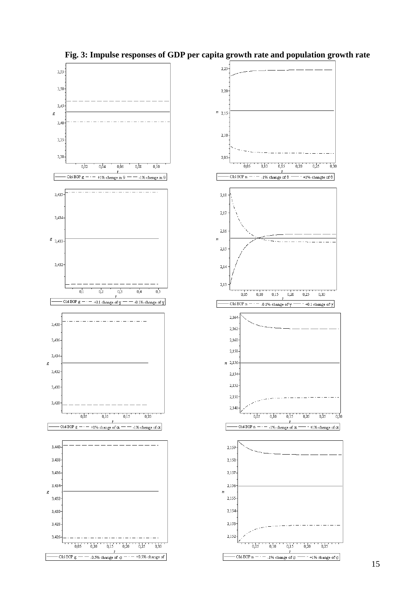



# **Fig. 3: Impulse responses of GDP per capita growth rate and population growth rate**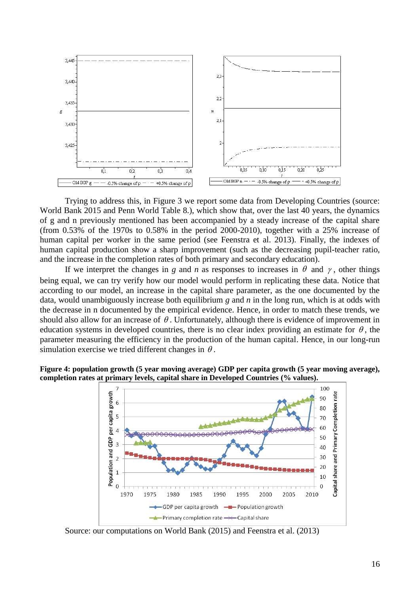

Trying to address this, in Figure 3 we report some data from Developing Countries (source: World Bank 2015 and Penn World Table 8.), which show that, over the last 40 years, the dynamics of g and n previously mentioned has been accompanied by a steady increase of the capital share (from 0.53% of the 1970s to 0.58% in the period 2000-2010), together with a 25% increase of human capital per worker in the same period (see Feenstra et al. 2013). Finally, the indexes of human capital production show a sharp improvement (such as the decreasing pupil-teacher ratio, and the increase in the completion rates of both primary and secondary education).

If we interpret the changes in *g* and *n* as responses to increases in  $\theta$  and  $\gamma$ , other things being equal, we can try verify how our model would perform in replicating these data. Notice that according to our model, an increase in the capital share parameter, as the one documented by the data, would unambiguously increase both equilibrium *g* and *n* in the long run, which is at odds with the decrease in n documented by the empirical evidence. Hence, in order to match these trends, we should also allow for an increase of  $\theta$ . Unfortunately, although there is evidence of improvement in education systems in developed countries, there is no clear index providing an estimate for  $\theta$ , the parameter measuring the efficiency in the production of the human capital. Hence, in our long-run simulation exercise we tried different changes in  $\theta$ .





Source: our computations on World Bank (2015) and Feenstra et al. (2013)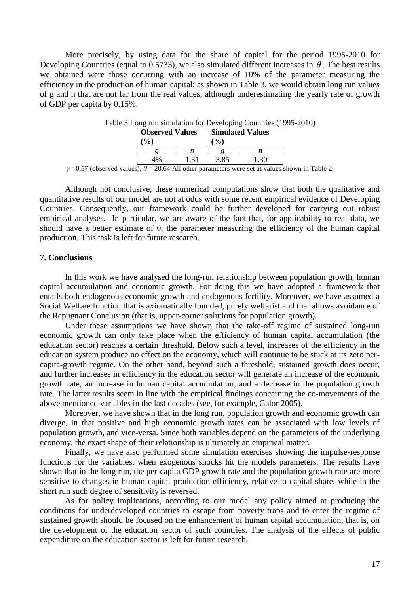More precisely, by using data for the share of capital for the period 1995-2010 for Developing Countries (equal to 0.5733), we also simulated different increases in  $\theta$ . The best results we obtained were those occurring with an increase of 10% of the parameter measuring the efficiency in the production of human capital: as shown in Table 3, we would obtain long run values of g and n that are not far from the real values, although underestimating the yearly rate of growth of GDP per capita by 0.15%.

| <b>Observed Values</b>    |  | <b>Simulated Values</b> |  |
|---------------------------|--|-------------------------|--|
| $\mathbf{O}_{\mathbf{A}}$ |  | $\mathbf{O}_{0}$        |  |
|                           |  |                         |  |
| 4%                        |  |                         |  |

Table 3 Long run simulation for Developing Countries (1995-2010)

 $\gamma$  =0.57 (observed values),  $\theta$  = 20.64 All other parameters were set at values shown in Table 2.

Although not conclusive, these numerical computations show that both the qualitative and quantitative results of our model are not at odds with some recent empirical evidence of Developing Countries. Consequently, our framework could be further developed for carrying out robust empirical analyses. In particular, we are aware of the fact that, for applicability to real data, we should have a better estimate of  $\theta$ , the parameter measuring the efficiency of the human capital production. This task is left for future research.

## **7. Conclusions**

In this work we have analysed the long-run relationship between population growth, human capital accumulation and economic growth. For doing this we have adopted a framework that entails both endogenous economic growth and endogenous fertility. Moreover, we have assumed a Social Welfare function that is axiomatically founded, purely welfarist and that allows avoidance of the Repugnant Conclusion (that is, upper-corner solutions for population growth).

Under these assumptions we have shown that the take-off regime of sustained long-run economic growth can only take place when the efficiency of human capital accumulation (the education sector) reaches a certain threshold. Below such a level, increases of the efficiency in the education system produce no effect on the economy, which will continue to be stuck at its zero percapita-growth regime. On the other hand, beyond such a threshold, sustained growth does occur, and further increases in efficiency in the education sector will generate an increase of the economic growth rate, an increase in human capital accumulation, and a decrease in the population growth rate. The latter results seem in line with the empirical findings concerning the co-movements of the above mentioned variables in the last decades (see, for example, Galor 2005).

Moreover, we have shown that in the long run, population growth and economic growth can diverge, in that positive and high economic growth rates can be associated with low levels of population growth, and vice-versa. Since both variables depend on the parameters of the underlying economy, the exact shape of their relationship is ultimately an empirical matter.

Finally, we have also performed some simulation exercises showing the impulse-response functions for the variables, when exogenous shocks hit the models parameters. The results have shown that in the long run, the per-capita GDP growth rate and the population growth rate are more sensitive to changes in human capital production efficiency, relative to capital share, while in the short run such degree of sensitivity is reversed.

As for policy implications, according to our model any policy aimed at producing the conditions for underdeveloped countries to escape from poverty traps and to enter the regime of sustained growth should be focused on the enhancement of human capital accumulation, that is, on the development of the education sector of such countries. The analysis of the effects of public expenditure on the education sector is left for future research.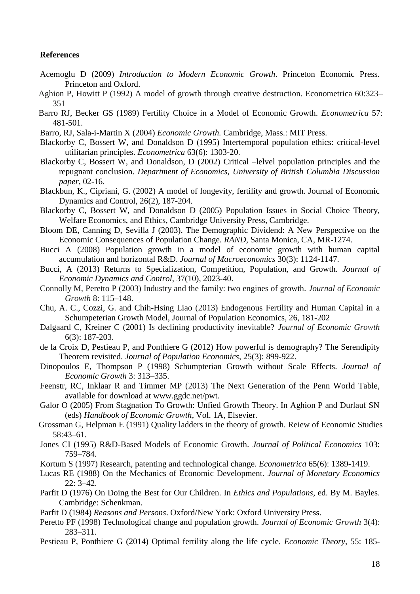## **References**

- Acemoglu D (2009) *Introduction to Modern Economic Growth*. Princeton Economic Press. Princeton and Oxford.
- Aghion P, Howitt P (1992) A model of growth through creative destruction. Econometrica 60:323– 351
- Barro RJ, Becker GS (1989) Fertility Choice in a Model of Economic Growth. *Econometrica* 57: 481-501.
- Barro, RJ, Sala-i-Martin X (2004) *Economic Growth.* Cambridge, Mass.: MIT Press.
- Blackorby C, Bossert W, and Donaldson D (1995) Intertemporal population ethics: critical-level utilitarian principles. *Econometrica* 63(6): 1303-20.
- Blackorby C, Bossert W, and Donaldson, D (2002) Critical –lelvel population principles and the repugnant conclusion. *Department of Economics, University of British Columbia Discussion paper*, 02-16.
- Blackbun, K., Cipriani, G. (2002) A model of longevity, fertility and growth. Journal of Economic Dynamics and Control, 26(2), 187-204.
- Blackorby C, Bossert W, and Donaldson D (2005) Population Issues in Social Choice Theory, Welfare Economics, and Ethics, Cambridge University Press, Cambridge.
- Bloom DE, Canning D, Sevilla J (2003). The Demographic Dividend: A New Perspective on the Economic Consequences of Population Change. *RAND*, Santa Monica, CA, MR-1274.
- Bucci A (2008) Population growth in a model of economic growth with human capital accumulation and horizontal R&D. *Journal of Macroeconomics* 30(3): 1124-1147.
- Bucci, A (2013) Returns to Specialization, Competition, Population, and Growth. *Journal of Economic Dynamics and Control*, 37(10), 2023-40.
- Connolly M, Peretto P (2003) Industry and the family: two engines of growth. *Journal of Economic Growth* 8: 115–148.
- Chu, A. C., Cozzi, G. and Chih-Hsing Liao (2013) Endogenous Fertility and Human Capital in a Schumpeterian Growth Model, Journal of Population Economics, 26, 181-202
- Dalgaard C, Kreiner C (2001) Is declining productivity inevitable? *Journal of Economic Growth* 6(3): 187-203.
- de la Croix D, Pestieau P, and Ponthiere G (2012) How powerful is demography? The Serendipity Theorem revisited. *Journal of Population Economics*, 25(3): 899-922.
- Dinopoulos E, Thompson P (1998) Schumpterian Growth without Scale Effects. *Journal of Economic Growth* 3: 313–335.
- Feenstr, RC, Inklaar R and Timmer MP (2013) The Next Generation of the Penn World Table, available for download at www.ggdc.net/pwt.
- Galor O (2005) From Stagnation To Growth: Unfied Growth Theory. In Aghion P and Durlauf SN (eds) *Handbook of Economic Growth*, Vol. 1A, Elsevier.
- Grossman G, Helpman E (1991) Quality ladders in the theory of growth. Reiew of Economic Studies 58:43–61.
- Jones CI (1995) R&D-Based Models of Economic Growth. *Journal of Political Economics* 103: 759–784.
- Kortum S (1997) Research, patenting and technological change. *Econometrica* 65(6): 1389-1419.
- Lucas RE (1988) On the Mechanics of Economic Development. *Journal of Monetary Economics*   $22: 3-42.$
- Parfit D (1976) On Doing the Best for Our Children. In *Ethics and Populations*, ed. By M. Bayles. Cambridge: Schenkman.
- Parfit D (1984) *Reasons and Persons*. Oxford/New York: Oxford University Press.
- Peretto PF (1998) Technological change and population growth. *Journal of Economic Growth* 3(4): 283–311.
- Pestieau P, Ponthiere G (2014) Optimal fertility along the life cycle. *Economic Theory*, 55: 185-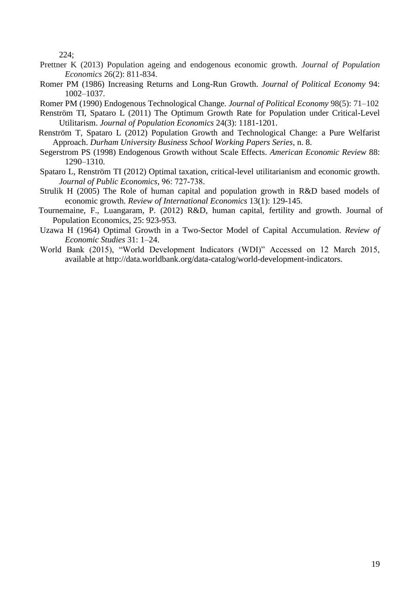224;

- Prettner K (2013) Population ageing and endogenous economic growth. *Journal of Population Economics* 26(2): 811-834.
- Romer PM (1986) Increasing Returns and Long-Run Growth. *Journal of Political Economy* 94: 1002–1037.

Romer PM (1990) Endogenous Technological Change. *Journal of Political Economy* 98(5): 71–102

- Renström TI, Spataro L (2011) The Optimum Growth Rate for Population under Critical-Level Utilitarism. *Journal of Population Economics* 24(3): 1181-1201.
- Renström T, Spataro L (2012) Population Growth and Technological Change: a Pure Welfarist Approach. *Durham University Business School Working Papers Series*, n. 8.
- Segerstrom PS (1998) Endogenous Growth without Scale Effects. *American Economic Review* 88: 1290–1310.
- Spataro L, Renström TI (2012) [Optimal taxation, critical-level utilitarianism and economic growth.](http://ideas.repec.org/p/dur/durham/2010_06.html) *Journal of Public Economics*, 96: 727-738.
- Strulik H (2005) The Role of human capital and population growth in R&D based models of economic growth. *Review of International Economics* 13(1): 129-145.
- Tournemaine, F., Luangaram, P. (2012) R&D, human capital, fertility and growth. Journal of Population Economics, 25: 923-953.
- Uzawa H (1964) Optimal Growth in a Two-Sector Model of Capital Accumulation. *Review of Economic Studies* 31: 1–24.
- World Bank (2015), "World Development Indicators (WDI)" Accessed on 12 March 2015, available at http://data.worldbank.org/data-catalog/world-development-indicators.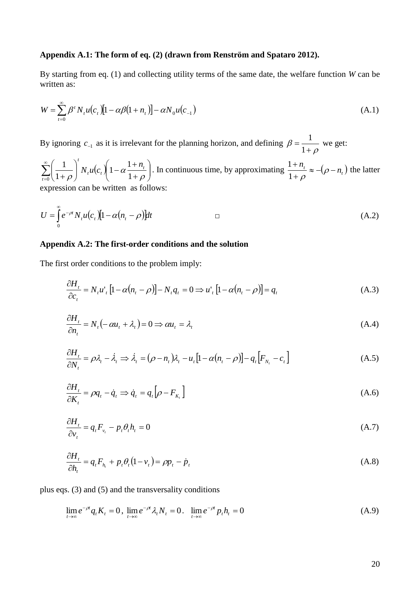## **Appendix A.1: The form of eq. (2) (drawn from Renström and Spataro 2012).**

By starting from eq. (1) and collecting utility terms of the same date, the welfare function *W* can be written as:

$$
W = \sum_{t=0}^{\infty} \beta^t N_t u(c_t) [1 - \alpha \beta (1 + n_t)] - \alpha N_0 u(c_{-1})
$$
\n(A.1)

By ignoring  $c_{-1}$  as it is irrelevant for the planning horizon, and defining  $\rho$  $\beta = \frac{1}{1 + \beta}$  $=$ 1  $\frac{1}{\ }$  we get:

 $\sum_{i=1}^{\infty} \left( \frac{1}{1+a} \right)^{i} N_{i} u(c_{i})$  $\sum_{t=0}^{\infty} \left( \frac{1}{1+\rho} \right) N_t u(c_t) \left(1-\alpha \frac{1+n_t}{1+\rho} \right)$ J  $\setminus$  $\overline{\phantom{a}}$  $\setminus$ ſ  $^{+}$  $\int N_{t}u(c_{t})\bigg(1-\alpha \frac{1+}{1+\alpha}\bigg)$ J  $\setminus$  $\overline{\phantom{a}}$  $\setminus$ ſ  $\int_0^1 (1+\rho)^{1+\mu}$  $1-\alpha$  $\frac{1}{2}$ 1 1 *t*  $t_t u(c_t)$  1 –  $\alpha \frac{1 + n_t}{1}$  $N$ <sub>*u*</sub> $(c)$ <sub>*l*</sub> $1 - \alpha \frac{1+n}{2}$  $\rho$ α  $\rho$ . In continuous time, by approximating  $\frac{1+n_t}{1+r} \approx -(\rho - n_t)$  $\overline{+}$  $\overline{+}$  $\frac{1}{1+\rho} \approx -(\rho$  $\frac{1+n_t}{1-\epsilon} \approx -(\rho - n_t)$  the latter expression can be written as follows:

$$
U = \int_{0}^{\infty} e^{-\rho t} N_{t} u(c_{t}) [1 - \alpha (n_{t} - \rho)] dt
$$
 (A.2)

# **Appendix A.2: The first-order conditions and the solution**

The first order conditions to the problem imply:

$$
\frac{\partial H_t}{\partial c_t} = N_t u_t' \left[ 1 - \alpha (n_t - \rho) \right] - N_t q_t = 0 \Rightarrow u_t' \left[ 1 - \alpha (n_t - \rho) \right] = q_t \tag{A.3}
$$

$$
\frac{\partial H_t}{\partial n_t} = N_t \left( -\alpha u_t + \lambda_t \right) = 0 \Rightarrow \alpha u_t = \lambda_t \tag{A.4}
$$

$$
\frac{\partial H_t}{\partial N_t} = \rho \lambda_t - \dot{\lambda}_t \Rightarrow \dot{\lambda}_t = (\rho - n_t)\lambda_t - u_t[1 - \alpha(n_t - \rho)] - q_t[F_{N_t} - c_t]
$$
\n(A.5)

$$
\frac{\partial H_t}{\partial K_t} = \rho q_t - \dot{q}_t \Rightarrow \dot{q}_t = q_t \big[ \rho - F_{K_t} \big] \tag{A.6}
$$

$$
\frac{\partial H_t}{\partial v_t} = q_t F_{v_t} - p_t \theta_t h_t = 0 \tag{A.7}
$$

$$
\frac{\partial H_t}{\partial h_t} = q_t F_{h_t} + p_t \theta_t (1 - v_t) = \rho p_t - \dot{p}_t
$$
\n(A.8)

plus eqs. (3) and (5) and the transversality conditions

$$
\lim_{t \to \infty} e^{-\rho t} q_t K_t = 0, \lim_{t \to \infty} e^{-\rho t} \lambda_t N_t = 0. \quad \lim_{t \to \infty} e^{-\rho t} p_t h_t = 0 \tag{A.9}
$$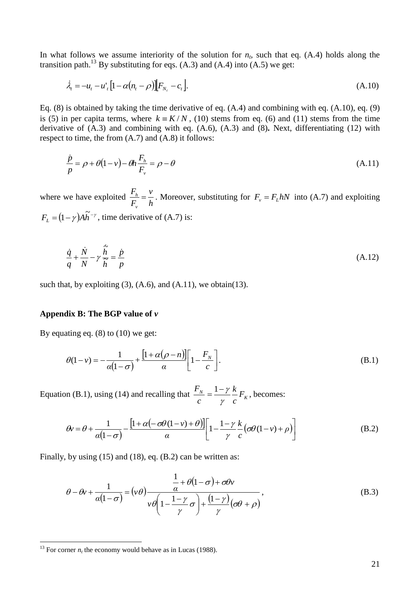In what follows we assume interiority of the solution for  $n_t$ , such that eq. (A.4) holds along the transition path.<sup>13</sup> By substituting for eqs.  $(A.3)$  and  $(A.4)$  into  $(A.5)$  we get:

$$
\dot{\lambda}_t = -u_t - u'_t \left[ 1 - \alpha (n_t - \rho) \right] \left[ F_{N_t} - c_t \right]. \tag{A.10}
$$

Eq. (8) is obtained by taking the time derivative of eq. (A.4) and combining with eq. (A.10), eq. (9) is (5) in per capita terms, where  $k = K/N$ , (10) stems from eq. (6) and (11) stems from the time derivative of (A.3) and combining with eq. (A.6), (A.3) and (8)**.** Next, differentiating (12) with respect to time, the from (A.7) and (A.8) it follows:

$$
\frac{\dot{p}}{p} = \rho + \theta(1 - v) - \theta h \frac{F_h}{F_v} = \rho - \theta
$$
\n(A.11)

where we have exploited *h v F F v*  $\frac{h}{r} = \frac{v}{l}$ . Moreover, substituting for  $F_v = F_L hN$  into (A.7) and exploiting  $F_L = (1 - \gamma)A\tilde{h}^{-\gamma}$ , time derivative of (A.7) is:

$$
\frac{\dot{q}}{q} + \frac{\dot{N}}{N} - \gamma \frac{\dot{\tilde{h}}}{\tilde{h}} = \frac{\dot{p}}{p}
$$
\n(A.12)

such that, by exploiting  $(3)$ ,  $(A.6)$ , and  $(A.11)$ , we obtain $(13)$ .

# **Appendix B: The BGP value of** *v*

By equating eq.  $(8)$  to  $(10)$  we get:

$$
\theta(1-\nu) = -\frac{1}{\alpha(1-\sigma)} + \frac{\left[1+\alpha(\rho-n)\right]}{\alpha} \left[1 - \frac{F_N}{c}\right].
$$
\n(B.1)

Equation (B.1), using (14) and recalling that  $\frac{F_N}{F} = \frac{1 - f K}{n} F_K$ *c k c F* γ  $=\frac{1-\gamma k}{F_k}F_k$ , becomes:

$$
\theta v = \theta + \frac{1}{\alpha(1-\sigma)} - \frac{\left[1 + \alpha(-\sigma\theta(1-v) + \theta)\right]}{\alpha} \left[1 - \frac{1-\gamma}{\gamma} \frac{k}{c} \left(\sigma\theta(1-v) + \rho\right)\right]
$$
(B.2)

Finally, by using (15) and (18), eq. (B.2) can be written as:

$$
\theta - \theta v + \frac{1}{\alpha(1-\sigma)} = (\nu \theta) \frac{\frac{1}{\alpha} + \theta(1-\sigma) + \sigma \theta v}{\nu \theta \left(1 - \frac{1-\gamma}{\gamma}\sigma\right) + \frac{(1-\gamma)}{\gamma}(\sigma \theta + \rho)},
$$
(B.3)

1

<sup>&</sup>lt;sup>13</sup> For corner  $n_t$  the economy would behave as in Lucas (1988).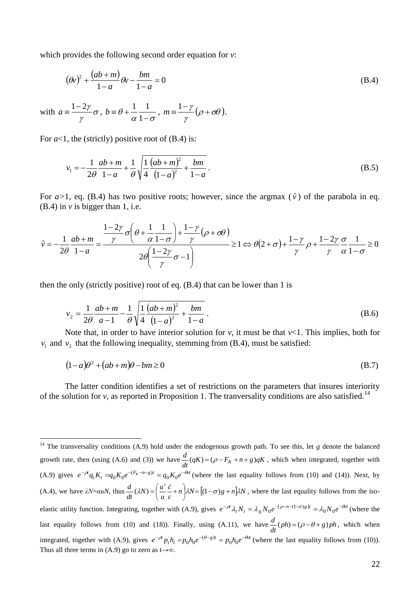which provides the following second order equation for *v*:

$$
(\theta v)^2 + \frac{(ab+m)}{1-a}\theta v - \frac{bm}{1-a} = 0
$$
 (B.4)

with 
$$
a = \frac{1-2\gamma}{\gamma} \sigma
$$
,  $b = \theta + \frac{1}{\alpha} \frac{1}{1-\sigma}$ ,  $m = \frac{1-\gamma}{\gamma} (\rho + \sigma \theta)$ .

For  $a<1$ , the (strictly) positive root of  $(B.4)$  is:

1

$$
v_1 = -\frac{1}{2\theta} \frac{ab+m}{1-a} + \frac{1}{\theta} \sqrt{\frac{1}{4} \frac{(ab+m)^2}{(1-a)^2} + \frac{bm}{1-a}}.
$$
 (B.5)

For  $a > 1$ , eq. (B.4) has two positive roots; however, since the argmax  $(\hat{v})$  of the parabola in eq.  $(B.4)$  in  $\nu$  is bigger than 1, i.e.

$$
\hat{v} = -\frac{1}{2\theta} \frac{ab + m}{1 - a} = \frac{\frac{1 - 2\gamma}{\gamma} \sigma \left(\theta + \frac{1}{\alpha} \frac{1}{1 - \sigma}\right) + \frac{1 - \gamma}{\gamma} (\rho + \sigma \theta)}{2\theta \left(\frac{1 - 2\gamma}{\gamma} \sigma - 1\right)} \ge 1 \Leftrightarrow \theta (2 + \sigma) + \frac{1 - \gamma}{\gamma} \rho + \frac{1 - 2\gamma}{\gamma} \frac{\sigma}{\alpha} \frac{1}{1 - \sigma} \ge 0
$$

then the only (strictly positive) root of eq. (B.4) that can be lower than 1 is

$$
v_2 = \frac{1}{2\theta} \frac{ab + m}{a - 1} - \frac{1}{\theta} \sqrt{\frac{1}{4} \frac{(ab + m)^2}{(1 - a)^2}} + \frac{bm}{1 - a}.
$$
 (B.6)

Note that, in order to have interior solution for  $\nu$ , it must be that  $\nu$ <1. This implies, both for  $v_1$  and  $v_2$  that the following inequality, stemming from (B.4), must be satisfied:

$$
(1-a)\theta^2 + (ab+m)\theta - bm \ge 0
$$
 (B.7)

The latter condition identifies a set of restrictions on the parameters that insures interiority of the solution for *v*, as reported in Proposition 1. The tranversality conditions are also satisfied.<sup>14</sup>

<sup>&</sup>lt;sup>14</sup> The transversality conditions  $(A.9)$  hold under the endogenous growth path. To see this, let  $g$  denote the balanced growth rate, then (using (A.6) and (3)) we have  $\frac{a}{dt}(qK) = (\rho - F_K + n + g)qK$ *d*  $(qK) = (\rho - F_K + n + g)qK$ , which when integrated, together with (A.9) gives  $e^{-\rho t}q_tK_t = q_0K_0e^{-(F_K-n-g)t} = q_0K_0e^{-\theta t}$  (where the last equality follows from (10) and (14)). Next, by (A.4), we have  $\lambda N = \alpha uN$ , thus  $\frac{u}{dt}(\lambda N) = \left(\frac{u}{u}\frac{c}{c} + n\right)\lambda N = \left[(1-\sigma)g + n\right]\lambda N$ *c u*  $\frac{d}{dt}(\lambda N) = \left(\frac{u}{u}\right)$  $\frac{d}{dx}(\lambda N) = \left(\frac{u'}{2} + n\right)\lambda N = \left[ (1 - \sigma)g + n\right]\lambda N$  $\big)$  $\left(\frac{u'}{u}-n\right)$ l  $(\lambda N) = \left(\frac{u'}{c} + n\right) \lambda N = \left[ (1 - \sigma)g + n\right] \lambda N$ , where the last equality follows from the isoelastic utility function. Integrating, together with (A.9), gives  $e^{-\rho t} \lambda_t N_t = \lambda_0 N_0 e^{-(\rho - n - (1 - \sigma)g)t} = \lambda_0 N_0 e^{-\theta t}$  (where the last equality follows from (10) and (18)). Finally, using (A.11), we have  $\frac{d}{dt}(ph) = (\rho - \theta + g)ph$  $\frac{d}{dx}(ph) = (\rho - \theta + g)ph$ , which when integrated, together with (A.9), gives  $e^{-\rho t} p_t h_t = p_0 h_0 e^{-(\theta - g)t} = p_0 h_0 e^{-\theta t}$  (where the last equality follows from (10)). Thus all three terms in (A.9) go to zero as t $\rightarrow \infty$ .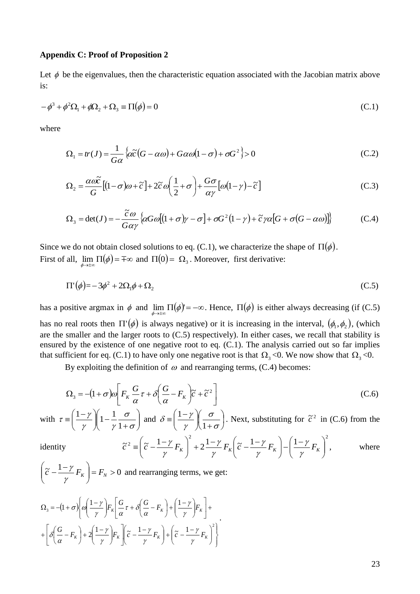#### **Appendix C: Proof of Proposition 2**

Let  $\phi$  be the eigenvalues, then the characteristic equation associated with the Jacobian matrix above is:

$$
-\phi^3 + \phi^2 \Omega_1 + \phi \Omega_2 + \Omega_3 \equiv \Pi(\phi) = 0 \tag{C.1}
$$

where

identity

$$
\Omega_1 = tr(J) = \frac{1}{G\alpha} \left\{ \alpha \tilde{c} (G - \alpha \omega) + G \alpha \omega (1 - \sigma) + \sigma G^2 \right\} > 0
$$
\n(C.2)

$$
\Omega_2 = \frac{\alpha \omega \tilde{c}}{G} \left[ (1 - \sigma) \omega + \tilde{c} \right] + 2 \tilde{c} \omega \left( \frac{1}{2} + \sigma \right) + \frac{G \sigma}{\alpha \gamma} \left[ \omega (1 - \gamma) - \tilde{c} \right] \tag{C.3}
$$

$$
\Omega_3 = \det(J) = -\frac{\tilde{c}\omega}{G\alpha\gamma} \left\{ \alpha G\omega \left[ (1+\sigma)\gamma - \sigma \right] + \sigma G^2 (1-\gamma) + \tilde{c}\gamma \alpha \left[ G + \sigma (G - \alpha \omega) \right] \right\} \tag{C.4}
$$

Since we do not obtain closed solutions to eq. (C.1), we characterize the shape of  $\Pi(\phi)$ . First of all,  $\lim_{\phi \to \pm \infty} \Pi(\phi) = \pm \infty$  and  $\Pi(0) = \Omega_3$ . Moreover, first derivative:

$$
\Pi'(\phi) = -3\phi^2 + 2\Omega_1\phi + \Omega_2\tag{C.5}
$$

has a positive argmax in  $\phi$  and  $\lim_{\phi \to \pm \infty} \Pi(\phi) = -\infty$ . Hence,  $\Pi(\phi)$  is either always decreasing (if (C.5) has no real roots then  $\Pi'(\phi)$  is always negative) or it is increasing in the interval,  $(\phi_1, \phi_2)$ , (which are the smaller and the larger roots to (C.5) respectively). In either cases, we recall that stability is ensured by the existence of one negative root to eq. (C.1). The analysis carried out so far implies that sufficient for eq. (C.1) to have only one negative root is that  $\Omega_3$  <0. We now show that  $\Omega_3$  <0.

By exploiting the definition of  $\omega$  and rearranging terms, (C.4) becomes:

$$
\Omega_3 = -(1+\sigma)\omega \left[ F_K \frac{G}{\alpha} \tau + \delta \left( \frac{G}{\alpha} - F_K \right) \tilde{c} + \tilde{c}^2 \right]
$$
 (C.6)

with  $\tau \equiv \left| \frac{1}{\gamma} \right| \left| 1 - \frac{1}{\gamma} \frac{\sigma}{1 + \sigma} \right|$ J  $\setminus$  $\parallel$  $\setminus$ ſ  $\sqrt{1-\frac{1}{\gamma}\frac{c}{1+}}$ J  $\setminus$  $\overline{\phantom{a}}$  $\setminus$  $\equiv \left(\frac{1-\gamma}{\gamma}\right)\left(1-\frac{1}{\gamma}\frac{\sigma}{1+\sigma}\right)$  $\sigma$  $\gamma$   $\gamma$   $\gamma$  $\tau \equiv \left(\frac{1-\gamma}{\gamma}\right)\left(1-\frac{1}{\gamma}\right)$  $\left(1-\gamma\right)\left(1-\frac{1}{\gamma}\frac{\sigma}{\sigma}\right)$  and  $\delta = \left(\frac{1-\gamma}{\gamma}\right)\left(\frac{\sigma}{\sigma}\right)$ J  $\left(\frac{\sigma}{\sigma}\right)$  $\setminus$ ſ  $\int_{1+}^{6}$  $\bigg)$  $\setminus$  $\overline{\phantom{a}}$  $\setminus$  $\equiv \left(\frac{1-\gamma}{\gamma}\right)\left(\frac{\sigma}{1+\sigma}\right)$  $\sigma$ γ  $\delta \equiv \left(\frac{1-\gamma}{\gamma}\right)\left(\frac{1}{1}\right)$  $\frac{1-\gamma}{\gamma}$   $\left(\frac{\sigma}{\gamma-1}\right)$ . Next, substituting for  $\tilde{c}^2$  in (C.6) from the

$$
\tilde{c}^2 \equiv \left(\tilde{c} - \frac{1-\gamma}{\gamma} F_K\right)^2 + 2\frac{1-\gamma}{\gamma} F_K \left(\tilde{c} - \frac{1-\gamma}{\gamma} F_K\right) - \left(\frac{1-\gamma}{\gamma} F_K\right)^2, \qquad \text{where}
$$

$$
\left(\tilde{c} - \frac{1 - \gamma}{\gamma} F_K\right) = F_N > 0
$$
 and rearranging terms, we get:

$$
\Omega_{3} = -(1+\sigma)\left\{\omega\left(\frac{1-\gamma}{\gamma}\right)F_{K}\left[\frac{G}{\alpha}\tau + \delta\left(\frac{G}{\alpha}-F_{K}\right) + \left(\frac{1-\gamma}{\gamma}\right)F_{K}\right] + \left[\delta\left(\frac{G}{\alpha}-F_{K}\right) + 2\left(\frac{1-\gamma}{\gamma}\right)F_{K}\right]\left(\tilde{c} - \frac{1-\gamma}{\gamma}F_{K}\right) + \left(\tilde{c} - \frac{1-\gamma}{\gamma}F_{K}\right)^{2}\right\}.
$$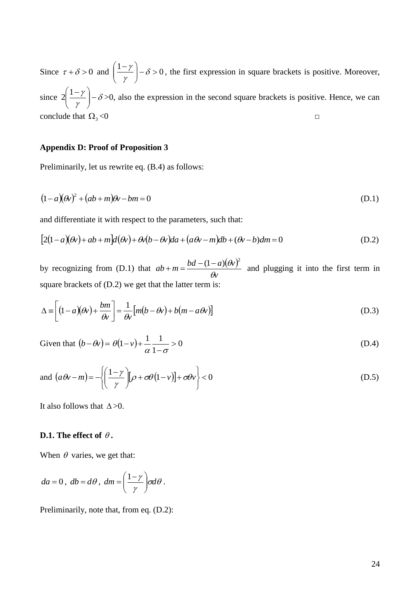Since  $\tau + \delta > 0$  and  $\left( \frac{1-\gamma}{\gamma} \right) - \delta > 0$ J  $\setminus$  $\overline{\phantom{a}}$  $\setminus$  $\left(\frac{1-\gamma}{\beta}\right)^{-\delta}$ γ  $\frac{\gamma}{\gamma}$   $\left(-\delta > 0\right)$ , the first expression in square brackets is positive. Moreover, since  $2 \frac{1}{1}$   $\frac{1}{6}$   $\delta$ γ  $\frac{\gamma}{\gamma}$  -J  $\setminus$  $\parallel$  $\setminus$  $2\left(\frac{1-\gamma}{\gamma}\right)-\delta$  >0, also the expression in the second square brackets is positive. Hence, we can conclude that  $\Omega_3$ <0 *□*

## **Appendix D: Proof of Proposition 3**

Preliminarily, let us rewrite eq. (B.4) as follows:

$$
(1-a)(\theta v)^2 + (ab+m)\theta v - bm = 0
$$
 (D.1)

and differentiate it with respect to the parameters, such that:

$$
[2(1-a)(\theta v) + ab + m]d(\theta v) + \theta v(b-\theta v)da + (a\theta v - m)db + (\theta v - b)dm = 0
$$
 (D.2)

by recognizing from (D.1) that  $ab + m = \frac{bd - (1 - a)(\theta v)}{a}$ *v*  $ab + m = \frac{bd - (1 - a)(\theta v)}{\theta v}$  $+m = \frac{bd - (1 - a)(\theta v)^2}{2}$  and plugging it into the first term in square brackets of (D.2) we get that the latter term is:

$$
\Delta \equiv \left[ (1 - a)(\theta v) + \frac{bm}{\theta v} \right] = \frac{1}{\theta v} \left[ m(b - \theta v) + b(m - a\theta v) \right]
$$
(D.3)

Given that  $(b - \theta v) = \theta(1 - v) + \frac{1}{2} \rightarrow 0$ 1  $(1-v)+\frac{1}{1}$   $\frac{1}{1}$  >  $\overline{a}$  $\theta(1-v) + \frac{1}{\alpha} \frac{1}{1-\sigma} > 0$  (D.4)

and 
$$
(a\theta v - m) = -\left\{ \left( \frac{1 - \gamma}{\gamma} \right) [\rho + \sigma \theta (1 - v)] + \sigma \theta v \right\} < 0
$$
 (D.5)

It also follows that  $\Delta > 0$ .

## **D.1.** The effect of  $\theta$ .

When  $\theta$  varies, we get that:

$$
da = 0, db = d\theta, dm = \left(\frac{1-\gamma}{\gamma}\right) \sigma d\theta.
$$

Preliminarily, note that, from eq. (D.2):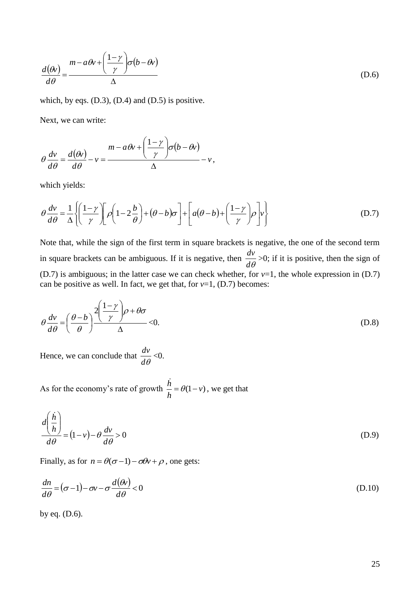$$
\frac{d(\theta v)}{d\theta} = \frac{m - a\theta v + \left(\frac{1 - \gamma}{\gamma}\right)\sigma(b - \theta v)}{\Delta}
$$
(D.6)

which, by eqs.  $(D.3)$ ,  $(D.4)$  and  $(D.5)$  is positive.

Next, we can write:

$$
\theta \frac{dv}{d\theta} = \frac{d(\theta v)}{d\theta} - v = \frac{m - a\theta v + \left(\frac{1 - \gamma}{\gamma}\right) \sigma(b - \theta v)}{\Delta} - v,
$$

which yields:

$$
\theta \frac{dv}{d\theta} = \frac{1}{\Delta} \left\{ \left( \frac{1-\gamma}{\gamma} \right) \left[ \rho \left( 1 - 2\frac{b}{\theta} \right) + (\theta - b)\sigma \right] + \left[ a(\theta - b) + \left( \frac{1-\gamma}{\gamma} \right) \rho \right] v \right\}
$$
(D.7)

(b)  $\frac{d\phi}{d\theta} = \frac{(y - y^2)^{3/2}}{4}$ <br>
(D b)<br>
and the hyperge (D.3), (D.4) and (D.5) is positive.<br>
ext, we can write:<br>  $\frac{dv}{d\theta} = \frac{a(\phi)}{d\theta} - v = \frac{n - a\theta + \left(\frac{1 - x}{y}\right)\sigma(b - \theta)}{4} - v,$ <br>
(a)  $\frac{dv}{d\theta} = \frac{1}{a} \left(\left(\frac{1 - x}{y}\right)\left(a\left($ Note that, while the sign of the first term in square brackets is negative, the one of the second term in square brackets can be ambiguous. If it is negative, then  $d\theta$  $\frac{dv}{dt}$  >0; if it is positive, then the sign of (D.7) is ambiguous; in the latter case we can check whether, for  $v=1$ , the whole expression in (D.7) can be positive as well. In fact, we get that, for  $v=1$ , (D.7) becomes:

$$
\theta \frac{dv}{d\theta} = \left(\frac{\theta - b}{\theta}\right)^2 \frac{\left(1 - \gamma\right)}{\Delta} \rho + \theta \sigma
$$
\n(D.8)

Hence, we can conclude that  $d\theta$  $\frac{dv}{dt}$  < 0.

As for the economy's rate of growth  $\frac{h}{I} = \theta(1 - v)$ *h*  $\frac{h}{\cdot} = \theta(1 -$ .<br>h , we get that

$$
\frac{d\left(\frac{\dot{h}}{h}\right)}{d\theta} = (1 - v) - \theta \frac{dv}{d\theta} > 0
$$
\n(D.9)

Finally, as for  $n = \theta(\sigma - 1) - \sigma \theta v + \rho$ , one gets:

$$
\frac{dn}{d\theta} = (\sigma - 1) - \sigma v - \sigma \frac{d(\theta v)}{d\theta} < 0
$$
\n(D.10)

by eq. (D.6).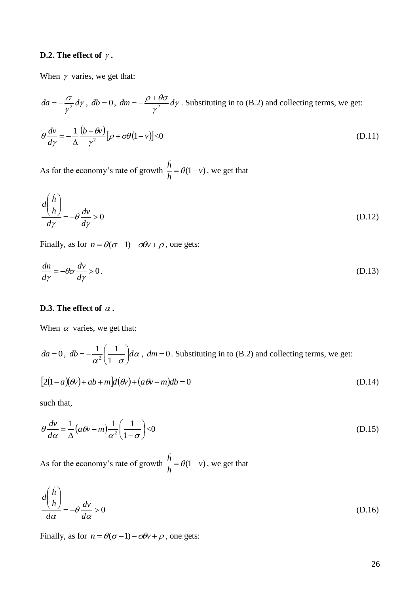## **D.2.** The effect of  $\gamma$  .

When  $\gamma$  varies, we get that:

$$
da = -\frac{\sigma}{\gamma^2} d\gamma, \ db = 0, \ dm = -\frac{\rho + \theta\sigma}{\gamma^2} d\gamma.
$$
 Substituting in to (B.2) and collecting terms, we get:  

$$
\theta \frac{dv}{d\gamma} = -\frac{1}{\Delta} \frac{(b - \theta v)}{\gamma^2} [\rho + \sigma \theta (1 - v)] < 0
$$
(D.11)

As for the economy's rate of growth  $\frac{h}{I} = \theta(1 - v)$ *h*  $\frac{h}{\epsilon} = \theta(1$ i, , we get that

$$
\frac{d\left(\frac{\dot{h}}{h}\right)}{d\gamma} = -\theta \frac{dv}{d\gamma} > 0
$$
\n(D.12)

Finally, as for  $n = \theta(\sigma - 1) - \sigma \theta v + \rho$ , one gets:

$$
\frac{dn}{dy} = -\theta \sigma \frac{dv}{dy} > 0.
$$
 (D.13)

## **D.3.** The effect of  $\alpha$  .

When  $\alpha$  varies, we get that:

$$
da = 0
$$
,  $db = -\frac{1}{\alpha^2} \left( \frac{1}{1 - \sigma} \right) d\alpha$ ,  $dm = 0$ . Substituting in to (B.2) and collecting terms, we get:

$$
[2(1-a)(\theta x) + ab + m]d(\theta x) + (a\theta x - m)db = 0
$$
\n(D.14)

such that,

$$
\theta \frac{dv}{d\alpha} = \frac{1}{\Delta} \left( a\theta v - m \right) \frac{1}{\alpha^2} \left( \frac{1}{1 - \sigma} \right) < 0 \tag{D.15}
$$

As for the economy's rate of growth  $\frac{n}{t} = \theta(1 - v)$ *h*  $\frac{h}{\cdot} = \theta(1$ i, , we get that

$$
\frac{d\left(\frac{\dot{h}}{h}\right)}{d\alpha} = -\theta \frac{dv}{d\alpha} > 0
$$
\n(D.16)

Finally, as for  $n = \theta(\sigma - 1) - \sigma \theta v + \rho$ , one gets: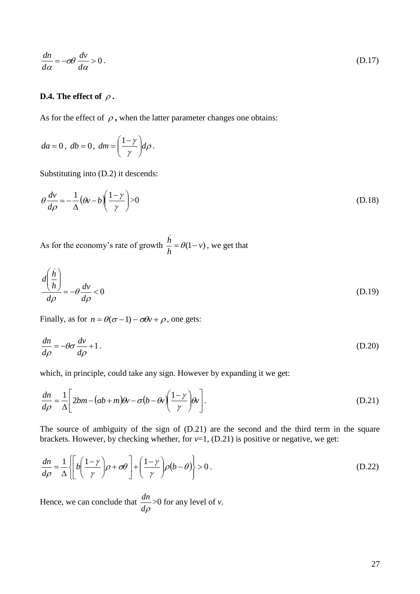$$
\frac{dn}{d\alpha} = -\sigma\theta \frac{dv}{d\alpha} > 0.
$$
\n(D.17)

## **D.4.** The effect of  $\rho$  .

As for the effect of  $\rho$ , when the latter parameter changes one obtains:

$$
da = 0, \ db = 0, \ dm = \left(\frac{1-\gamma}{\gamma}\right) d\rho.
$$

Substituting into (D.2) it descends:

$$
\theta \frac{dv}{d\rho} = -\frac{1}{\Delta} (\theta v - b) \left( \frac{1 - \gamma}{\gamma} \right) > 0
$$
 (D.18)

As for the economy's rate of growth  $\frac{h}{I} = \theta(1 - v)$ *h*  $\frac{h}{\epsilon} = \theta(1$ i, , we get that

$$
\frac{d\vec{n}}{d\alpha} = -\alpha \theta \frac{d\alpha}{d\alpha} > 0.
$$
\n(D.17)  
\nD.4. The effect of ρ, when the latter parameter changes one obtains:  
\n
$$
d\alpha = 0, db = 0, dm = \left(\frac{1-y}{\gamma}\right) d\rho.
$$
\nSubstituting into (D.2) it descends:  
\n
$$
\theta \frac{dv}{d\rho} = -\frac{1}{\Delta} (\theta v - b) \left(\frac{1-y}{\gamma}\right) > 0
$$
\n(D.18)  
\nAs for the economy's rate of growth  $\frac{h}{h} = \theta(1-v)$ , we get that  
\n
$$
\frac{d\left(\frac{h}{h}\right)}{d\rho} = -\theta \frac{dv}{d\rho} < 0
$$
\n(D.19)  
\nFinally, as for  $n = \theta(\sigma - 1) - \sigma\theta v + \rho$ , one gets:  
\n
$$
\frac{dn}{d\rho} = -\theta \sigma \frac{dv}{d\rho} + 1.
$$
\n(D.20)  
\nWhich, in principle, could take any sign. However by expanding it we get:  
\n
$$
\frac{dn}{d\rho} = \frac{1}{\Delta} \left[ 2bm - (ab + m)\theta v - \sigma(b - \theta v) \left(\frac{1-y}{\gamma}\right) \theta v \right].
$$
\n(D.21)  
\nThe source of ambiguity of the sign of (D.21) are the second and the third term in the square brackets. However, by checking whether, for v=1, (D.21) is positive or negative, we get:  
\n
$$
\frac{dn}{d\rho} = \frac{1}{\Delta} \left\{ \left[ \theta \left(\frac{1-y}{\gamma}\right) \rho + \sigma\theta \right] + \left(\frac{1-y}{\gamma}\right) \rho(b - \theta) \right\} > 0.
$$
\n(D.22)  
\nHence, we can conclude that  $\frac{dn}{d\rho} > 0$  for any level of v.

Finally, as for  $n = \theta(\sigma - 1) - \sigma \theta v + \rho$ , one gets:

$$
\frac{dn}{d\rho} = -\theta \sigma \frac{dv}{d\rho} + 1. \tag{D.20}
$$

which, in principle, could take any sign. However by expanding it we get:

$$
\frac{dn}{d\rho} = \frac{1}{\Delta} \left[ 2bm - (ab + m)\theta v - \sigma(b - \theta v) \left( \frac{1 - \gamma}{\gamma} \right) \theta v \right].
$$
\n(D.21)

The source of ambiguity of the sign of (D.21) are the second and the third term in the square brackets. However, by checking whether, for  $v=1$ , (D.21) is positive or negative, we get:

$$
\frac{dn}{d\rho} = \frac{1}{\Delta} \left\{ \left[ b \left( \frac{1-\gamma}{\gamma} \right) \rho + \sigma \theta \right] + \left( \frac{1-\gamma}{\gamma} \right) \rho (b-\theta) \right\} > 0. \tag{D.22}
$$

Hence, we can conclude that *d*  $\frac{dn}{dt}$  > 0 for any level of *v*.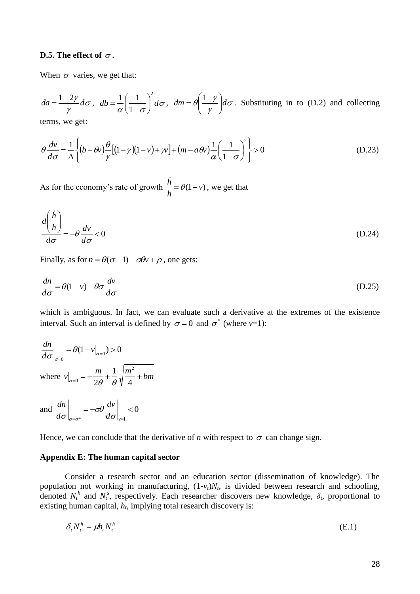## **D.5.** The effect of  $\sigma$  .

When  $\sigma$  varies, we get that:

 $\sigma$ γ  $da = \frac{1-2\gamma}{\gamma} d\sigma$ ,  $db = \frac{1}{\alpha} \left(\frac{1}{1-\sigma}\right)^2 d\sigma$ 2 1  $1 \binom{1}{1}$  $\overline{\phantom{a}}$ J  $\left(\frac{1}{1}\right)$  $\setminus$ ſ  $\overline{a}$  $=-\left|\frac{1}{\epsilon}\right|d\sigma, dm = \theta \frac{1}{\epsilon}d\sigma$ γ  $dm = \theta \frac{1-\gamma}{\gamma} d$ J  $\setminus$  $\mathord{\mathord{\restriction}}$  $\setminus$  $=\theta\left(\frac{1-\gamma}{d\sigma}\right)d\sigma$ . Substituting in to (D.2) and collecting

terms, we get:

$$
\theta \frac{dv}{d\sigma} = \frac{1}{\Delta} \left\{ (b - \theta v) \frac{\theta}{\gamma} [(1 - \gamma)(1 - v) + \gamma v] + (m - a\theta v) \frac{1}{\alpha} \left( \frac{1}{1 - \sigma} \right)^2 \right\} > 0
$$
\n(D.23)

As for the economy's rate of growth  $\frac{h}{I} = \theta(1 - v)$ *h*  $\frac{h}{\cdot} = \theta(1$ i, , we get that

$$
\frac{d\left(\frac{\dot{h}}{h}\right)}{d\sigma} = -\theta \frac{dv}{d\sigma} < 0
$$
\n(D.24)

Finally, as for  $n = \theta(\sigma - 1) - \sigma \theta v + \rho$ , one gets:

$$
\frac{dn}{d\sigma} = \theta(1 - v) - \theta\sigma \frac{dv}{d\sigma}
$$
 (D.25)

which is ambiguous. In fact, we can evaluate such a derivative at the extremes of the existence interval. Such an interval is defined by  $\sigma = 0$  and  $\sigma^*$  (where *v*=1):

$$
\frac{dn}{d\sigma}\Big|_{\sigma=0} = \theta(1 - v|_{\sigma=0}) > 0
$$
\nwhere  $v|_{\sigma=0} = -\frac{m}{2\theta} + \frac{1}{\theta} \sqrt{\frac{m^2}{4} + bm}$ 

and 
$$
\frac{dn}{d\sigma}\Big|_{\sigma=\sigma^*} = -\sigma\theta \frac{dv}{d\sigma}\Big|_{v=1} < 0
$$

Hence, we can conclude that the derivative of *n* with respect to  $\sigma$  can change sign.

## **Appendix E: The human capital sector**

Consider a research sector and an education sector (dissemination of knowledge). The population not working in manufacturing,  $(1-v_t)N_t$ , is divided between research and schooling, denoted  $N_t^h$  and  $N_t^s$ , respectively. Each researcher discovers new knowledge,  $\delta_t$ , proportional to existing human capital,  $h_t$ , implying total research discovery is:

$$
\delta_t N_t^h = \mu h_t N_t^h \tag{E.1}
$$